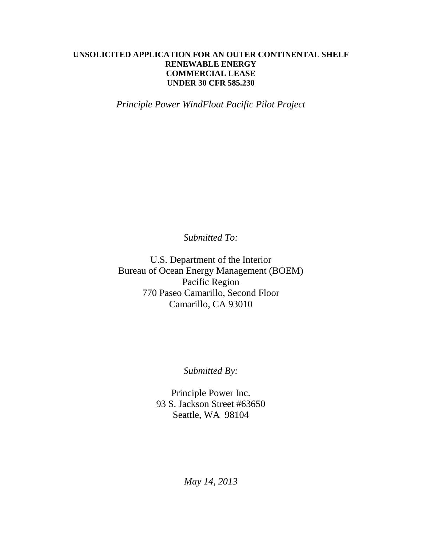## **UNSOLICITED APPLICATION FOR AN OUTER CONTINENTAL SHELF RENEWABLE ENERGY COMMERCIAL LEASE UNDER 30 CFR 585.230**

*Principle Power WindFloat Pacific Pilot Project*

*Submitted To:*

U.S. Department of the Interior Bureau of Ocean Energy Management (BOEM) Pacific Region 770 Paseo Camarillo, Second Floor Camarillo, CA 93010

*Submitted By:*

Principle Power Inc. 93 S. Jackson Street #63650 Seattle, WA 98104

*May 14, 2013*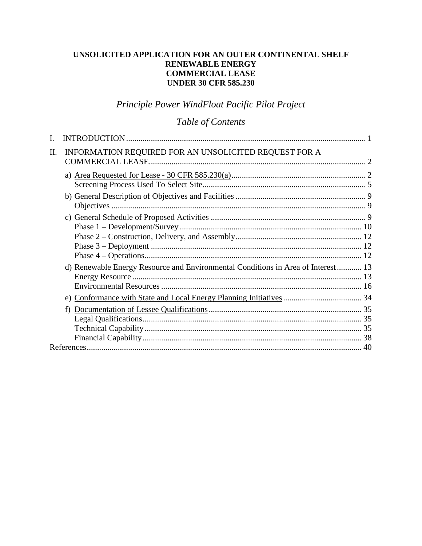# **UNSOLICITED APPLICATION FOR AN OUTER CONTINENTAL SHELF RENEWABLE ENERGY COMMERCIAL LEASE UNDER 30 CFR 585.230**

# *Principle Power WindFloat Pacific Pilot Project*

# *Table of Contents*

| Π. | INFORMATION REQUIRED FOR AN UNSOLICITED REQUEST FOR A                             |  |
|----|-----------------------------------------------------------------------------------|--|
|    |                                                                                   |  |
|    |                                                                                   |  |
|    |                                                                                   |  |
|    |                                                                                   |  |
|    |                                                                                   |  |
|    |                                                                                   |  |
|    |                                                                                   |  |
|    |                                                                                   |  |
|    |                                                                                   |  |
|    |                                                                                   |  |
|    | d) Renewable Energy Resource and Environmental Conditions in Area of Interest  13 |  |
|    |                                                                                   |  |
|    |                                                                                   |  |
|    |                                                                                   |  |
|    | f)                                                                                |  |
|    |                                                                                   |  |
|    |                                                                                   |  |
|    |                                                                                   |  |
|    |                                                                                   |  |
|    |                                                                                   |  |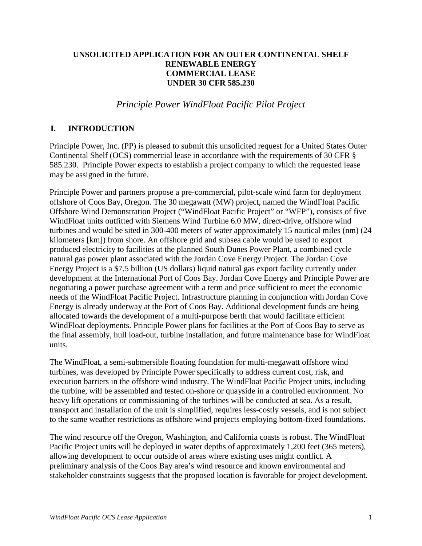### **UNSOLICITED APPLICATION FOR AN OUTER CONTINENTAL SHELF RENEWABLE ENERGY COMMERCIAL LEASE UNDER 30 CFR 585.230**

*Principle Power WindFloat Pacific Pilot Project*

### **I. INTRODUCTION**

Principle Power, Inc. (PP) is pleased to submit this unsolicited request for a United States Outer Continental Shelf (OCS) commercial lease in accordance with the requirements of 30 CFR § 585.230. Principle Power expects to establish a project company to which the requested lease may be assigned in the future.

Principle Power and partners propose a pre-commercial, pilot-scale wind farm for deployment offshore of Coos Bay, Oregon. The 30 megawatt (MW) project, named the WindFloat Pacific Offshore Wind Demonstration Project ("WindFloat Pacific Project" or "WFP"), consists of five WindFloat units outfitted with Siemens Wind Turbine 6.0 MW, direct-drive, offshore wind turbines and would be sited in 300-400 meters of water approximately 15 nautical miles (nm) (24 kilometers [km]) from shore. An offshore grid and subsea cable would be used to export produced electricity to facilities at the planned South Dunes Power Plant, a combined cycle natural gas power plant associated with the Jordan Cove Energy Project. The Jordan Cove Energy Project is a \$7.5 billion (US dollars) liquid natural gas export facility currently under development at the International Port of Coos Bay. Jordan Cove Energy and Principle Power are negotiating a power purchase agreement with a term and price sufficient to meet the economic needs of the WindFloat Pacific Project. Infrastructure planning in conjunction with Jordan Cove Energy is already underway at the Port of Coos Bay. Additional development funds are being allocated towards the development of a multi-purpose berth that would facilitate efficient WindFloat deployments. Principle Power plans for facilities at the Port of Coos Bay to serve as the final assembly, hull load-out, turbine installation, and future maintenance base for WindFloat units.

The WindFloat, a semi-submersible floating foundation for multi-megawatt offshore wind turbines, was developed by Principle Power specifically to address current cost, risk, and execution barriers in the offshore wind industry. The WindFloat Pacific Project units, including the turbine, will be assembled and tested on-shore or quayside in a controlled environment. No heavy lift operations or commissioning of the turbines will be conducted at sea. As a result, transport and installation of the unit is simplified, requires less-costly vessels, and is not subject to the same weather restrictions as offshore wind projects employing bottom-fixed foundations.

The wind resource off the Oregon, Washington, and California coasts is robust. The WindFloat Pacific Project units will be deployed in water depths of approximately 1,200 feet (365 meters), allowing development to occur outside of areas where existing uses might conflict. A preliminary analysis of the Coos Bay area's wind resource and known environmental and stakeholder constraints suggests that the proposed location is favorable for project development.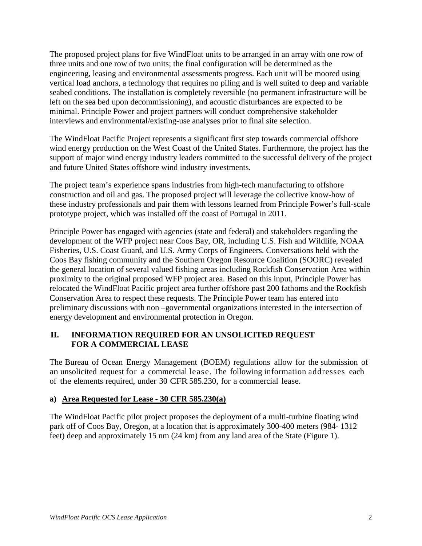The proposed project plans for five WindFloat units to be arranged in an array with one row of three units and one row of two units; the final configuration will be determined as the engineering, leasing and environmental assessments progress. Each unit will be moored using vertical load anchors, a technology that requires no piling and is well suited to deep and variable seabed conditions. The installation is completely reversible (no permanent infrastructure will be left on the sea bed upon decommissioning), and acoustic disturbances are expected to be minimal. Principle Power and project partners will conduct comprehensive stakeholder interviews and environmental/existing-use analyses prior to final site selection.

The WindFloat Pacific Project represents a significant first step towards commercial offshore wind energy production on the West Coast of the United States. Furthermore, the project has the support of major wind energy industry leaders committed to the successful delivery of the project and future United States offshore wind industry investments.

The project team's experience spans industries from high-tech manufacturing to offshore construction and oil and gas. The proposed project will leverage the collective know-how of these industry professionals and pair them with lessons learned from Principle Power's full-scale prototype project, which was installed off the coast of Portugal in 2011.

Principle Power has engaged with agencies (state and federal) and stakeholders regarding the development of the WFP project near Coos Bay, OR, including U.S. Fish and Wildlife, NOAA Fisheries, U.S. Coast Guard, and U.S. Army Corps of Engineers. Conversations held with the Coos Bay fishing community and the Southern Oregon Resource Coalition (SOORC) revealed the general location of several valued fishing areas including Rockfish Conservation Area within proximity to the original proposed WFP project area. Based on this input, Principle Power has relocated the WindFloat Pacific project area further offshore past 200 fathoms and the Rockfish Conservation Area to respect these requests. The Principle Power team has entered into preliminary discussions with non –governmental organizations interested in the intersection of energy development and environmental protection in Oregon.

# **II. INFORMATION REQUIRED FOR AN UNSOLICITED REQUEST FOR A COMMERCIAL LEASE**

The Bureau of Ocean Energy Management (BOEM) regulations allow for the submission of an unsolicited request for a commercial lease. The following information addresses each of the elements required, under 30 CFR 585.230, for a commercial lease.

### **a) Area Requested for Lease - 30 CFR 585.230(a)**

The WindFloat Pacific pilot project proposes the deployment of a multi-turbine floating wind park off of Coos Bay, Oregon, at a location that is approximately 300-400 meters (984- 1312 feet) deep and approximately 15 nm (24 km) from any land area of the State (Figure 1).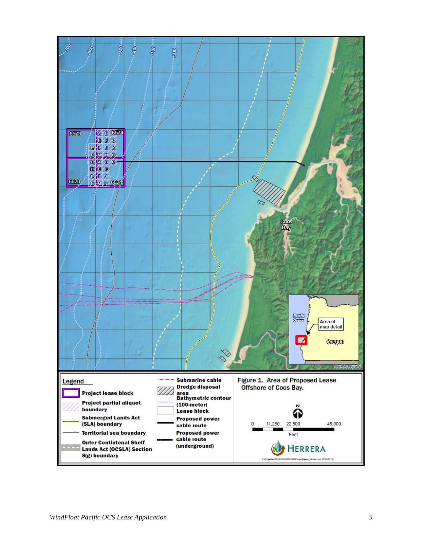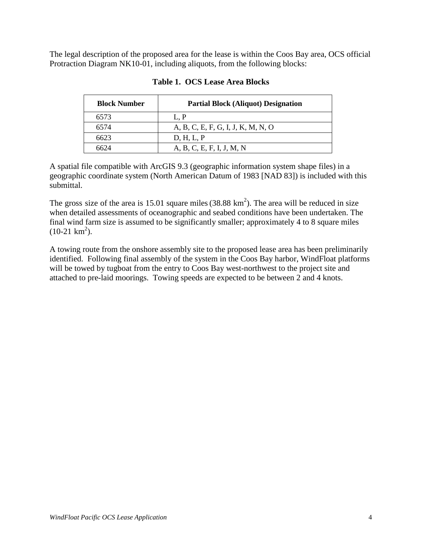The legal description of the proposed area for the lease is within the Coos Bay area, OCS official Protraction Diagram NK10-01, including aliquots, from the following blocks:

| <b>Block Number</b> | <b>Partial Block (Aliquot) Designation</b> |
|---------------------|--------------------------------------------|
| 6573                | L.P                                        |
| 6574                | A, B, C, E, F, G, I, J, K, M, N, O         |
| 6623                | D, H, L, P                                 |
| 6624                | A, B, C, E, F, I, J, M, N                  |

#### **Table 1. OCS Lease Area Blocks**

A spatial file compatible with ArcGIS 9.3 (geographic information system shape files) in a geographic coordinate system (North American Datum of 1983 [NAD 83]) is included with this submittal.

The gross size of the area is 15.01 square miles (38.88  $\text{km}^2$ ). The area will be reduced in size when detailed assessments of oceanographic and seabed conditions have been undertaken. The final wind farm size is assumed to be significantly smaller; approximately 4 to 8 square miles  $(10-21 \text{ km}^2).$ 

A towing route from the onshore assembly site to the proposed lease area has been preliminarily identified. Following final assembly of the system in the Coos Bay harbor, WindFloat platforms will be towed by tugboat from the entry to Coos Bay west-northwest to the project site and attached to pre-laid moorings. Towing speeds are expected to be between 2 and 4 knots.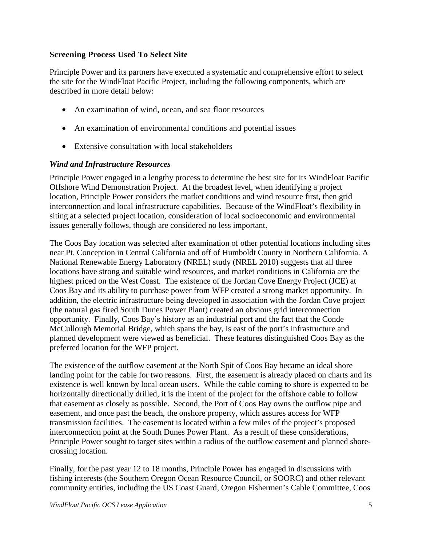### **Screening Process Used To Select Site**

Principle Power and its partners have executed a systematic and comprehensive effort to select the site for the WindFloat Pacific Project, including the following components, which are described in more detail below:

- An examination of wind, ocean, and sea floor resources
- An examination of environmental conditions and potential issues
- Extensive consultation with local stakeholders

#### *Wind and Infrastructure Resources*

Principle Power engaged in a lengthy process to determine the best site for its WindFloat Pacific Offshore Wind Demonstration Project. At the broadest level, when identifying a project location, Principle Power considers the market conditions and wind resource first, then grid interconnection and local infrastructure capabilities. Because of the WindFloat's flexibility in siting at a selected project location, consideration of local socioeconomic and environmental issues generally follows, though are considered no less important.

The Coos Bay location was selected after examination of other potential locations including sites near Pt. Conception in Central California and off of Humboldt County in Northern California. A National Renewable Energy Laboratory (NREL) study (NREL 2010) suggests that all three locations have strong and suitable wind resources, and market conditions in California are the highest priced on the West Coast. The existence of the Jordan Cove Energy Project (JCE) at Coos Bay and its ability to purchase power from WFP created a strong market opportunity. In addition, the electric infrastructure being developed in association with the Jordan Cove project (the natural gas fired South Dunes Power Plant) created an obvious grid interconnection opportunity. Finally, Coos Bay's history as an industrial port and the fact that the Conde McCullough Memorial Bridge, which spans the bay, is east of the port's infrastructure and planned development were viewed as beneficial. These features distinguished Coos Bay as the preferred location for the WFP project.

The existence of the outflow easement at the North Spit of Coos Bay became an ideal shore landing point for the cable for two reasons. First, the easement is already placed on charts and its existence is well known by local ocean users. While the cable coming to shore is expected to be horizontally directionally drilled, it is the intent of the project for the offshore cable to follow that easement as closely as possible. Second, the Port of Coos Bay owns the outflow pipe and easement, and once past the beach, the onshore property, which assures access for WFP transmission facilities. The easement is located within a few miles of the project's proposed interconnection point at the South Dunes Power Plant. As a result of these considerations, Principle Power sought to target sites within a radius of the outflow easement and planned shorecrossing location.

Finally, for the past year 12 to 18 months, Principle Power has engaged in discussions with fishing interests (the Southern Oregon Ocean Resource Council, or SOORC) and other relevant community entities, including the US Coast Guard, Oregon Fishermen's Cable Committee, Coos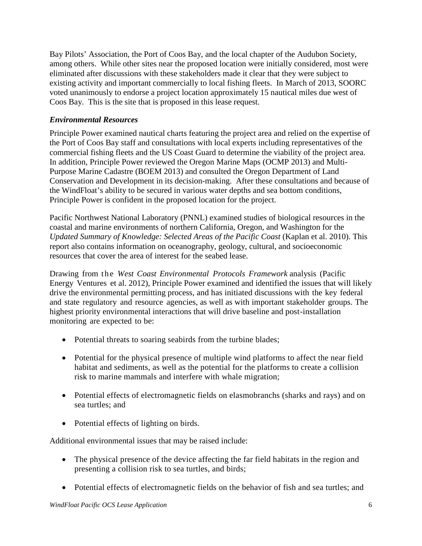Bay Pilots' Association, the Port of Coos Bay, and the local chapter of the Audubon Society, among others. While other sites near the proposed location were initially considered, most were eliminated after discussions with these stakeholders made it clear that they were subject to existing activity and important commercially to local fishing fleets. In March of 2013, SOORC voted unanimously to endorse a project location approximately 15 nautical miles due west of Coos Bay. This is the site that is proposed in this lease request.

# *Environmental Resources*

Principle Power examined nautical charts featuring the project area and relied on the expertise of the Port of Coos Bay staff and consultations with local experts including representatives of the commercial fishing fleets and the US Coast Guard to determine the viability of the project area. In addition, Principle Power reviewed the Oregon Marine Maps (OCMP 2013) and Multi-Purpose Marine Cadastre (BOEM 2013) and consulted the Oregon Department of Land Conservation and Development in its decision-making. After these consultations and because of the WindFloat's ability to be secured in various water depths and sea bottom conditions, Principle Power is confident in the proposed location for the project.

Pacific Northwest National Laboratory (PNNL) examined studies of biological resources in the coastal and marine environments of northern California, Oregon, and Washington for the *Updated Summary of Knowledge: Selected Areas of the Pacific Coast* (Kaplan et al. 2010). This report also contains information on oceanography, geology, cultural, and socioeconomic resources that cover the area of interest for the seabed lease.

Drawing from the *West Coast Environmental Protocols Framework* analysis (Pacific Energy Ventures et al. 2012), Principle Power examined and identified the issues that will likely drive the environmental permitting process, and has initiated discussions with the key federal and state regulatory and resource agencies, as well as with important stakeholder groups. The highest priority environmental interactions that will drive baseline and post-installation monitoring are expected to be:

- Potential threats to soaring seabirds from the turbine blades;
- Potential for the physical presence of multiple wind platforms to affect the near field habitat and sediments, as well as the potential for the platforms to create a collision risk to marine mammals and interfere with whale migration;
- Potential effects of electromagnetic fields on elasmobranchs (sharks and rays) and on sea turtles; and
- Potential effects of lighting on birds.

Additional environmental issues that may be raised include:

- The physical presence of the device affecting the far field habitats in the region and presenting a collision risk to sea turtles, and birds;
- Potential effects of electromagnetic fields on the behavior of fish and sea turtles; and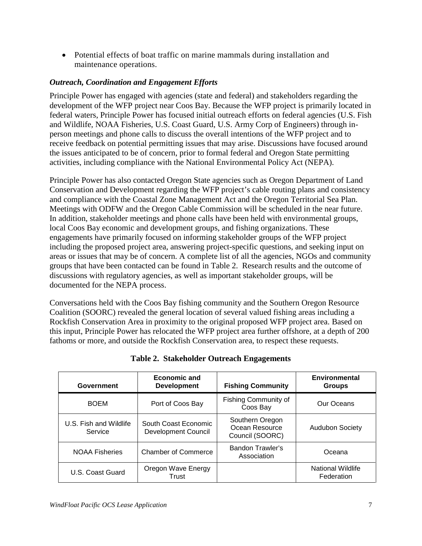• Potential effects of boat traffic on marine mammals during installation and maintenance operations.

# *Outreach, Coordination and Engagement Efforts*

Principle Power has engaged with agencies (state and federal) and stakeholders regarding the development of the WFP project near Coos Bay. Because the WFP project is primarily located in federal waters, Principle Power has focused initial outreach efforts on federal agencies (U.S. Fish and Wildlife, NOAA Fisheries, U.S. Coast Guard, U.S. Army Corp of Engineers) through inperson meetings and phone calls to discuss the overall intentions of the WFP project and to receive feedback on potential permitting issues that may arise. Discussions have focused around the issues anticipated to be of concern, prior to formal federal and Oregon State permitting activities, including compliance with the National Environmental Policy Act (NEPA).

Principle Power has also contacted Oregon State agencies such as Oregon Department of Land Conservation and Development regarding the WFP project's cable routing plans and consistency and compliance with the Coastal Zone Management Act and the Oregon Territorial Sea Plan. Meetings with ODFW and the Oregon Cable Commission will be scheduled in the near future. In addition, stakeholder meetings and phone calls have been held with environmental groups, local Coos Bay economic and development groups, and fishing organizations. These engagements have primarily focused on informing stakeholder groups of the WFP project including the proposed project area, answering project-specific questions, and seeking input on areas or issues that may be of concern. A complete list of all the agencies, NGOs and community groups that have been contacted can be found in Table 2. Research results and the outcome of discussions with regulatory agencies, as well as important stakeholder groups, will be documented for the NEPA process.

Conversations held with the Coos Bay fishing community and the Southern Oregon Resource Coalition (SOORC) revealed the general location of several valued fishing areas including a Rockfish Conservation Area in proximity to the original proposed WFP project area. Based on this input, Principle Power has relocated the WFP project area further offshore, at a depth of 200 fathoms or more, and outside the Rockfish Conservation area, to respect these requests.

| Government                        | Economic and<br><b>Development</b>                 | <b>Fishing Community</b>                             | Environmental<br><b>Groups</b>  |
|-----------------------------------|----------------------------------------------------|------------------------------------------------------|---------------------------------|
| <b>BOEM</b>                       | Port of Coos Bay                                   | <b>Fishing Community of</b><br>Coos Bay              | Our Oceans                      |
| U.S. Fish and Wildlife<br>Service | South Coast Economic<br><b>Development Council</b> | Southern Oregon<br>Ocean Resource<br>Council (SOORC) | <b>Audubon Society</b>          |
| <b>NOAA Fisheries</b>             | <b>Chamber of Commerce</b>                         | Bandon Trawler's<br>Association                      | Oceana                          |
| U.S. Coast Guard                  | Oregon Wave Energy<br>Trust                        |                                                      | National Wildlife<br>Federation |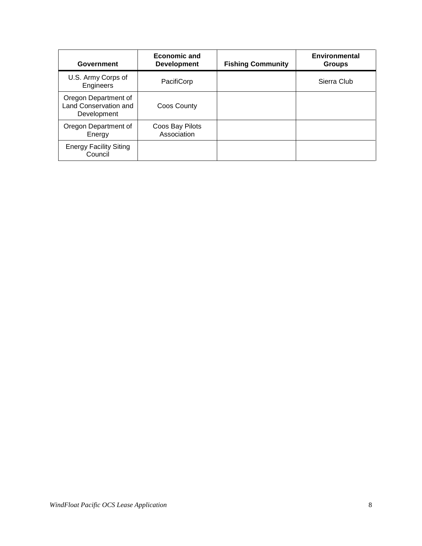| Government                                                          | <b>Economic and</b><br><b>Development</b> | <b>Fishing Community</b> | Environmental<br><b>Groups</b> |
|---------------------------------------------------------------------|-------------------------------------------|--------------------------|--------------------------------|
| U.S. Army Corps of<br>Engineers                                     | PacifiCorp                                |                          | Sierra Club                    |
| Oregon Department of<br><b>Land Conservation and</b><br>Development | Coos County                               |                          |                                |
| Oregon Department of<br>Energy                                      | Coos Bay Pilots<br>Association            |                          |                                |
| <b>Energy Facility Siting</b><br>Council                            |                                           |                          |                                |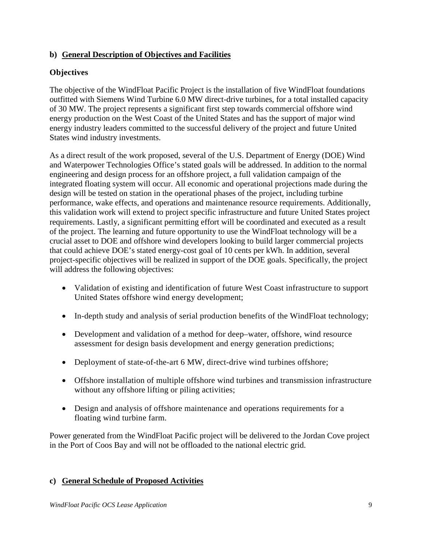# **b) General Description of Objectives and Facilities**

# **Objectives**

The objective of the WindFloat Pacific Project is the installation of five WindFloat foundations outfitted with Siemens Wind Turbine 6.0 MW direct-drive turbines, for a total installed capacity of 30 MW. The project represents a significant first step towards commercial offshore wind energy production on the West Coast of the United States and has the support of major wind energy industry leaders committed to the successful delivery of the project and future United States wind industry investments.

As a direct result of the work proposed, several of the U.S. Department of Energy (DOE) Wind and Waterpower Technologies Office's stated goals will be addressed. In addition to the normal engineering and design process for an offshore project, a full validation campaign of the integrated floating system will occur. All economic and operational projections made during the design will be tested on station in the operational phases of the project, including turbine performance, wake effects, and operations and maintenance resource requirements. Additionally, this validation work will extend to project specific infrastructure and future United States project requirements. Lastly, a significant permitting effort will be coordinated and executed as a result of the project. The learning and future opportunity to use the WindFloat technology will be a crucial asset to DOE and offshore wind developers looking to build larger commercial projects that could achieve DOE's stated energy-cost goal of 10 cents per kWh. In addition, several project-specific objectives will be realized in support of the DOE goals. Specifically, the project will address the following objectives:

- Validation of existing and identification of future West Coast infrastructure to support United States offshore wind energy development;
- In-depth study and analysis of serial production benefits of the WindFloat technology;
- Development and validation of a method for deep–water, offshore, wind resource assessment for design basis development and energy generation predictions;
- Deployment of state-of-the-art 6 MW, direct-drive wind turbines offshore;
- Offshore installation of multiple offshore wind turbines and transmission infrastructure without any offshore lifting or piling activities;
- Design and analysis of offshore maintenance and operations requirements for a floating wind turbine farm.

Power generated from the WindFloat Pacific project will be delivered to the Jordan Cove project in the Port of Coos Bay and will not be offloaded to the national electric grid.

### **c) General Schedule of Proposed Activities**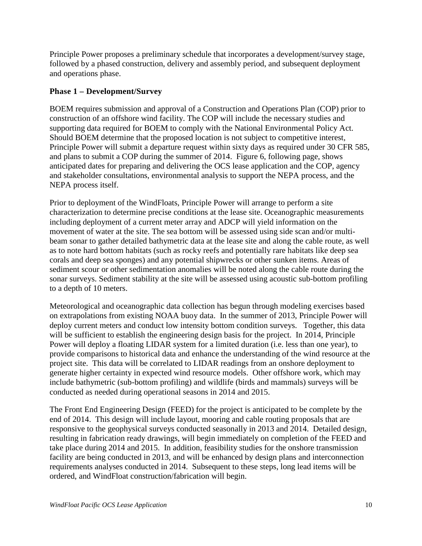Principle Power proposes a preliminary schedule that incorporates a development/survey stage, followed by a phased construction, delivery and assembly period, and subsequent deployment and operations phase.

# **Phase 1 – Development/Survey**

BOEM requires submission and approval of a Construction and Operations Plan (COP) prior to construction of an offshore wind facility. The COP will include the necessary studies and supporting data required for BOEM to comply with the National Environmental Policy Act. Should BOEM determine that the proposed location is not subject to competitive interest, Principle Power will submit a departure request within sixty days as required under 30 CFR 585, and plans to submit a COP during the summer of 2014. Figure 6, following page, shows anticipated dates for preparing and delivering the OCS lease application and the COP, agency and stakeholder consultations, environmental analysis to support the NEPA process, and the NEPA process itself.

Prior to deployment of the WindFloats, Principle Power will arrange to perform a site characterization to determine precise conditions at the lease site. Oceanographic measurements including deployment of a current meter array and ADCP will yield information on the movement of water at the site. The sea bottom will be assessed using side scan and/or multibeam sonar to gather detailed bathymetric data at the lease site and along the cable route, as well as to note hard bottom habitats (such as rocky reefs and potentially rare habitats like deep sea corals and deep sea sponges) and any potential shipwrecks or other sunken items. Areas of sediment scour or other sedimentation anomalies will be noted along the cable route during the sonar surveys. Sediment stability at the site will be assessed using acoustic sub-bottom profiling to a depth of 10 meters.

Meteorological and oceanographic data collection has begun through modeling exercises based on extrapolations from existing NOAA buoy data. In the summer of 2013, Principle Power will deploy current meters and conduct low intensity bottom condition surveys. Together, this data will be sufficient to establish the engineering design basis for the project. In 2014, Principle Power will deploy a floating LIDAR system for a limited duration (i.e. less than one year), to provide comparisons to historical data and enhance the understanding of the wind resource at the project site. This data will be correlated to LIDAR readings from an onshore deployment to generate higher certainty in expected wind resource models. Other offshore work, which may include bathymetric (sub-bottom profiling) and wildlife (birds and mammals) surveys will be conducted as needed during operational seasons in 2014 and 2015.

The Front End Engineering Design (FEED) for the project is anticipated to be complete by the end of 2014. This design will include layout, mooring and cable routing proposals that are responsive to the geophysical surveys conducted seasonally in 2013 and 2014. Detailed design, resulting in fabrication ready drawings, will begin immediately on completion of the FEED and take place during 2014 and 2015. In addition, feasibility studies for the onshore transmission facility are being conducted in 2013, and will be enhanced by design plans and interconnection requirements analyses conducted in 2014. Subsequent to these steps, long lead items will be ordered, and WindFloat construction/fabrication will begin.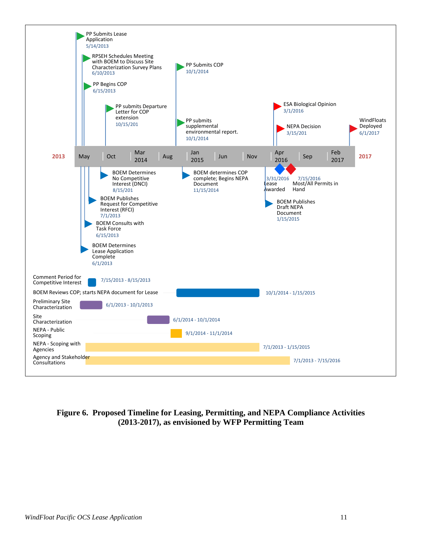

**Figure 6. Proposed Timeline for Leasing, Permitting, and NEPA Compliance Activities (2013-2017), as envisioned by WFP Permitting Team**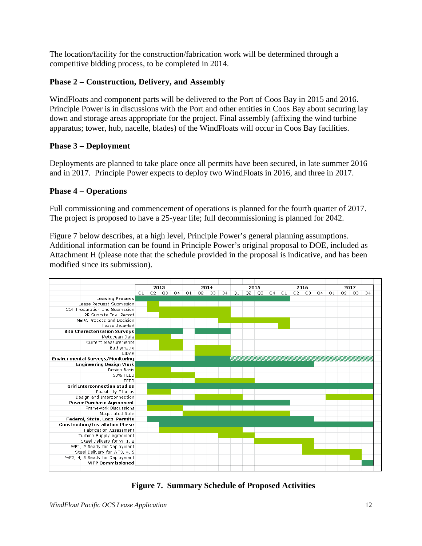The location/facility for the construction/fabrication work will be determined through a competitive bidding process, to be completed in 2014.

# **Phase 2 – Construction, Delivery, and Assembly**

WindFloats and component parts will be delivered to the Port of Coos Bay in 2015 and 2016. Principle Power is in discussions with the Port and other entities in Coos Bay about securing lay down and storage areas appropriate for the project. Final assembly (affixing the wind turbine apparatus; tower, hub, nacelle, blades) of the WindFloats will occur in Coos Bay facilities.

# **Phase 3 – Deployment**

Deployments are planned to take place once all permits have been secured, in late summer 2016 and in 2017. Principle Power expects to deploy two WindFloats in 2016, and three in 2017.

# **Phase 4 – Operations**

Full commissioning and commencement of operations is planned for the fourth quarter of 2017. The project is proposed to have a 25-year life; full decommissioning is planned for 2042.

Figure 7 below describes, at a high level, Principle Power's general planning assumptions. Additional information can be found in Principle Power's original proposal to DOE, included as Attachment H (please note that the schedule provided in the proposal is indicative, and has been modified since its submission).



**Figure 7. Summary Schedule of Proposed Activities**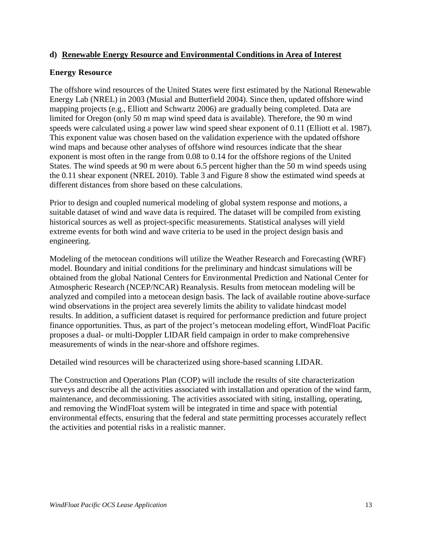#### **d) Renewable Energy Resource and Environmental Conditions in Area of Interest**

#### **Energy Resource**

The offshore wind resources of the United States were first estimated by the National Renewable Energy Lab (NREL) in 2003 (Musial and Butterfield 2004). Since then, updated offshore wind mapping projects (e.g., Elliott and Schwartz 2006) are gradually being completed. Data are limited for Oregon (only 50 m map wind speed data is available). Therefore, the 90 m wind speeds were calculated using a power law wind speed shear exponent of 0.11 (Elliott et al. 1987). This exponent value was chosen based on the validation experience with the updated offshore wind maps and because other analyses of offshore wind resources indicate that the shear exponent is most often in the range from 0.08 to 0.14 for the offshore regions of the United States. The wind speeds at 90 m were about 6.5 percent higher than the 50 m wind speeds using the 0.11 shear exponent (NREL 2010). Table 3 and Figure 8 show the estimated wind speeds at different distances from shore based on these calculations.

Prior to design and coupled numerical modeling of global system response and motions, a suitable dataset of wind and wave data is required. The dataset will be compiled from existing historical sources as well as project-specific measurements. Statistical analyses will yield extreme events for both wind and wave criteria to be used in the project design basis and engineering.

Modeling of the metocean conditions will utilize the Weather Research and Forecasting (WRF) model. Boundary and initial conditions for the preliminary and hindcast simulations will be obtained from the global National Centers for Environmental Prediction and National Center for Atmospheric Research (NCEP/NCAR) Reanalysis. Results from metocean modeling will be analyzed and compiled into a metocean design basis. The lack of available routine above-surface wind observations in the project area severely limits the ability to validate hindcast model results. In addition, a sufficient dataset is required for performance prediction and future project finance opportunities. Thus, as part of the project's metocean modeling effort, WindFloat Pacific proposes a dual- or multi-Doppler LIDAR field campaign in order to make comprehensive measurements of winds in the near-shore and offshore regimes.

Detailed wind resources will be characterized using shore-based scanning LIDAR.

The Construction and Operations Plan (COP) will include the results of site characterization surveys and describe all the activities associated with installation and operation of the wind farm, maintenance, and decommissioning. The activities associated with siting, installing, operating, and removing the WindFloat system will be integrated in time and space with potential environmental effects, ensuring that the federal and state permitting processes accurately reflect the activities and potential risks in a realistic manner.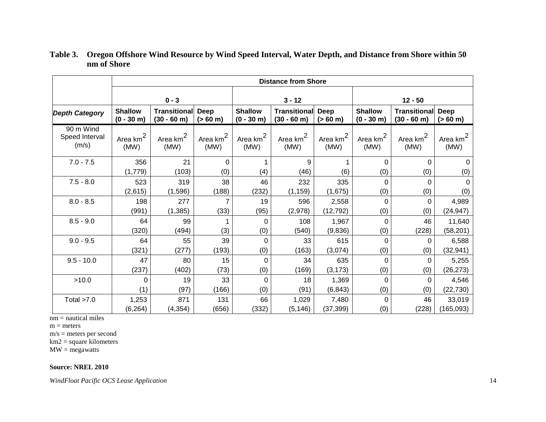|                                      | <b>Distance from Shore</b>      |                                         |                              |                                |                              |                     |                                |                             |                              |
|--------------------------------------|---------------------------------|-----------------------------------------|------------------------------|--------------------------------|------------------------------|---------------------|--------------------------------|-----------------------------|------------------------------|
|                                      | $0 - 3$                         |                                         |                              | $3 - 12$                       |                              |                     | $12 - 50$                      |                             |                              |
| <b>Depth Category</b>                | <b>Shallow</b><br>$(0 - 30)$ m) | <b>Transitional Deep</b><br>$(30 - 60)$ | $(> 60 \text{ m})$           | <b>Shallow</b><br>$(0 - 30 m)$ | Transitional<br>$(30 - 60)$  | Deep<br>(> 60 m)    | <b>Shallow</b><br>$(0 - 30 m)$ | Transitional<br>$(30 - 60)$ | <b>Deep</b><br>(> 60 m)      |
| 90 m Wind<br>Speed Interval<br>(m/s) | Area $km2$<br>(MW)              | Area $km^2$<br>(MW)                     | Area km <sup>2</sup><br>(MW) | Area km <sup>2</sup><br>(MW)   | Area km <sup>2</sup><br>(MW) | Area $km^2$<br>(MW) | Area km <sup>2</sup><br>(MW)   | Area $km2$<br>(MW)          | Area km <sup>2</sup><br>(MW) |
| $7.0 - 7.5$                          | 356                             | 21                                      | $\Omega$                     |                                | 9                            | 1                   | $\Omega$                       | $\Omega$                    | $\mathbf{0}$                 |
|                                      | (1,779)                         | (103)                                   | (0)                          | (4)                            | (46)                         | (6)                 | (0)                            | (0)                         | (0)                          |
| $7.5 - 8.0$                          | 523                             | 319                                     | 38                           | 46                             | 232                          | 335                 | 0                              | $\Omega$                    | $\Omega$                     |
|                                      | (2,615)                         | (1,596)                                 | (188)                        | (232)                          | (1, 159)                     | (1,675)             | (0)                            | (0)                         | (0)                          |
| $8.0 - 8.5$                          | 198                             | 277                                     |                              | 19                             | 596                          | 2,558               | 0                              | 0                           | 4,989                        |
|                                      | (991)                           | (1, 385)                                | (33)                         | (95)                           | (2,978)                      | (12, 792)           | (0)                            | (0)                         | (24, 947)                    |
| $8.5 - 9.0$                          | 64                              | 99                                      |                              | 0                              | 108                          | 1,967               | 0                              | 46                          | 11,640                       |
|                                      | (320)                           | (494)                                   | (3)                          | (0)                            | (540)                        | (9,836)             | (0)                            | (228)                       | (58, 201)                    |
| $9.0 - 9.5$                          | 64                              | 55                                      | 39                           | 0                              | 33                           | 615                 | $\Omega$                       | 0                           | 6,588                        |
|                                      | (321)                           | (277)                                   | (193)                        | (0)                            | (163)                        | (3,074)             | (0)                            | (0)                         | (32, 941)                    |
| $9.5 - 10.0$                         | 47                              | 80                                      | 15                           | 0                              | 34                           | 635                 | $\Omega$                       | 0                           | 5,255                        |
|                                      | (237)                           | (402)                                   | (73)                         | (0)                            | (169)                        | (3, 173)            | (0)                            | (0)                         | (26, 273)                    |
| >10.0                                | $\Omega$                        | 19                                      | 33                           | 0                              | 18                           | 1,369               | $\Omega$                       | $\Omega$                    | 4,546                        |
|                                      | (1)                             | (97)                                    | (166)                        | (0)                            | (91)                         | (6, 843)            | (0)                            | (0)                         | (22, 730)                    |
| Total $>7.0$                         | 1,253                           | 871                                     | 131                          | 66                             | 1,029                        | 7,480               | 0                              | 46                          | 33,019                       |
|                                      | (6, 264)                        | (4, 354)                                | (656)                        | (332)                          | (5, 146)                     | (37, 399)           | (0)                            | (228)                       | (165,093)                    |

#### **Table 3. Oregon Offshore Wind Resource by Wind Speed Interval, Water Depth, and Distance from Shore within 50 nm of Shore**

nm = nautical miles

 $m = meters$ 

m/s = meters per second

 $km2$  = square kilometers

 $MW = megawatts$ 

#### **Source: NREL 2010**

*WindFloat Pacific OCS Lease Application* 14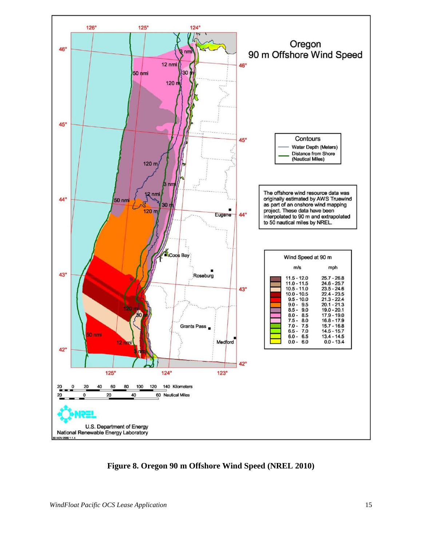

**Figure 8. Oregon 90 m Offshore Wind Speed (NREL 2010)**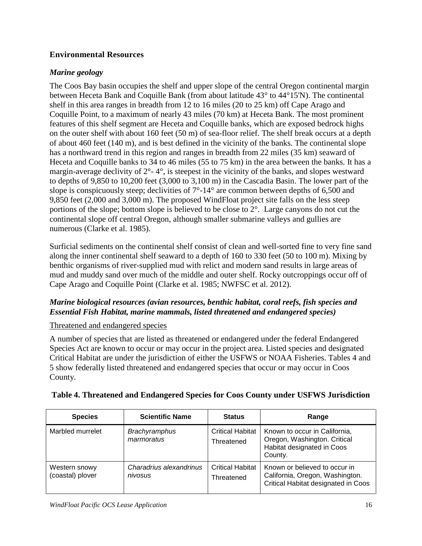# **Environmental Resources**

# *Marine geology*

The Coos Bay basin occupies the shelf and upper slope of the central Oregon continental margin between Heceta Bank and Coquille Bank (from about latitude 43° to 44°15'N). The continental shelf in this area ranges in breadth from 12 to 16 miles (20 to 25 km) off Cape Arago and Coquille Point, to a maximum of nearly 43 miles (70 km) at Heceta Bank. The most prominent features of this shelf segment are Heceta and Coquille banks, which are exposed bedrock highs on the outer shelf with about 160 feet (50 m) of sea-floor relief. The shelf break occurs at a depth of about 460 feet (140 m), and is best defined in the vicinity of the banks. The continental slope has a northward trend in this region and ranges in breadth from 22 miles (35 km) seaward of Heceta and Coquille banks to 34 to 46 miles (55 to 75 km) in the area between the banks. It has a margin-average declivity of  $2^{\circ}$ -4°, is steepest in the vicinity of the banks, and slopes westward to depths of 9,850 to 10,200 feet (3,000 to 3,100 m) in the Cascadia Basin. The lower part of the slope is conspicuously steep; declivities of  $7^{\circ}$ -14° are common between depths of 6,500 and 9,850 feet (2,000 and 3,000 m). The proposed WindFloat project site falls on the less steep portions of the slope; bottom slope is believed to be close to 2°. Large canyons do not cut the continental slope off central Oregon, although smaller submarine valleys and gullies are numerous (Clarke et al. 1985).

Surficial sediments on the continental shelf consist of clean and well-sorted fine to very fine sand along the inner continental shelf seaward to a depth of 160 to 330 feet (50 to 100 m). Mixing by benthic organisms of river-supplied mud with relict and modern sand results in large areas of mud and muddy sand over much of the middle and outer shelf. Rocky outcroppings occur off of Cape Arago and Coquille Point (Clarke et al. 1985; NWFSC et al. 2012).

# *Marine biological resources (avian resources, benthic habitat, coral reefs, fish species and Essential Fish Habitat, marine mammals, listed threatened and endangered species)*

### Threatened and endangered species

A number of species that are listed as threatened or endangered under the federal Endangered Species Act are known to occur or may occur in the project area. Listed species and designated Critical Habitat are under the jurisdiction of either the USFWS or NOAA Fisheries. Tables 4 and 5 show federally listed threatened and endangered species that occur or may occur in Coos County.

| <b>Species</b>                    | <b>Scientific Name</b>             | <b>Status</b>                         | Range                                                                                                   |
|-----------------------------------|------------------------------------|---------------------------------------|---------------------------------------------------------------------------------------------------------|
| Marbled murrelet                  | <b>Brachyramphus</b><br>marmoratus | <b>Critical Habitat</b><br>Threatened | Known to occur in California,<br>Oregon, Washington. Critical<br>Habitat designated in Coos<br>County.  |
| Western snowy<br>(coastal) plover | Charadrius alexandrinus<br>nivosus | <b>Critical Habitat</b><br>Threatened | Known or believed to occur in<br>California, Oregon, Washington.<br>Critical Habitat designated in Coos |

### **Table 4. Threatened and Endangered Species for Coos County under USFWS Jurisdiction**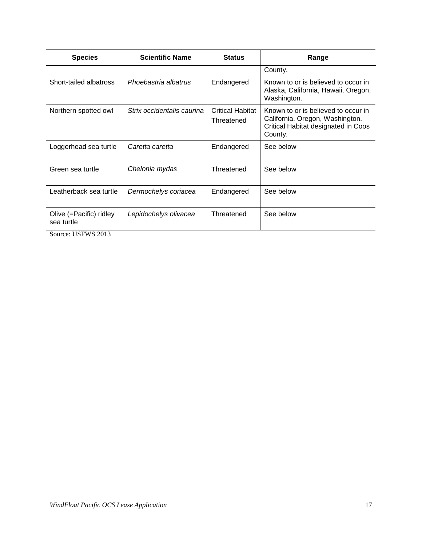| <b>Scientific Name</b><br><b>Species</b> |                            | <b>Status</b>                         | Range                                                                                                                    |
|------------------------------------------|----------------------------|---------------------------------------|--------------------------------------------------------------------------------------------------------------------------|
|                                          |                            |                                       | County.                                                                                                                  |
| Short-tailed albatross                   | Phoebastria albatrus       | Endangered                            | Known to or is believed to occur in<br>Alaska, California, Hawaii, Oregon,<br>Washington.                                |
| Northern spotted owl                     | Strix occidentalis caurina | <b>Critical Habitat</b><br>Threatened | Known to or is believed to occur in<br>California, Oregon, Washington.<br>Critical Habitat designated in Coos<br>County. |
| Loggerhead sea turtle                    | Caretta caretta            | Endangered                            | See below                                                                                                                |
| Green sea turtle                         | Chelonia mydas             | Threatened                            | See below                                                                                                                |
| Leatherback sea turtle                   | Dermochelys coriacea       | Endangered                            | See below                                                                                                                |
| Olive (=Pacific) ridley<br>sea turtle    | Lepidochelys olivacea      | Threatened                            | See below                                                                                                                |

Source: USFWS 2013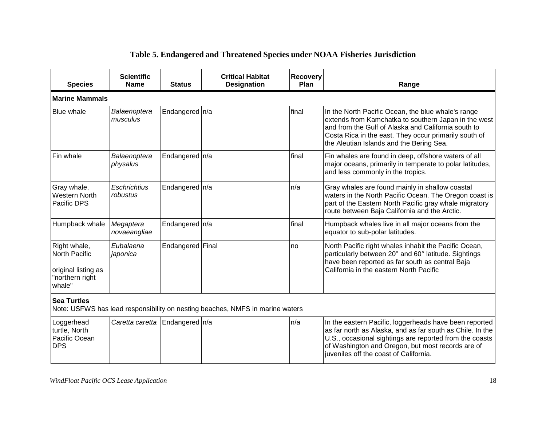| <b>Species</b>                                                                    | <b>Scientific</b><br><b>Name</b>   | <b>Status</b>    | <b>Critical Habitat</b><br><b>Designation</b>                                 | Recovery<br>Plan | Range                                                                                                                                                                                                                                                                         |  |  |  |  |
|-----------------------------------------------------------------------------------|------------------------------------|------------------|-------------------------------------------------------------------------------|------------------|-------------------------------------------------------------------------------------------------------------------------------------------------------------------------------------------------------------------------------------------------------------------------------|--|--|--|--|
| <b>Marine Mammals</b>                                                             |                                    |                  |                                                                               |                  |                                                                                                                                                                                                                                                                               |  |  |  |  |
| <b>Blue whale</b>                                                                 | Balaenoptera<br>musculus           | Endangered n/a   |                                                                               | final            | In the North Pacific Ocean, the blue whale's range<br>extends from Kamchatka to southern Japan in the west<br>and from the Gulf of Alaska and California south to<br>Costa Rica in the east. They occur primarily south of<br>the Aleutian Islands and the Bering Sea.        |  |  |  |  |
| Fin whale                                                                         | Balaenoptera<br>physalus           | Endangered   n/a |                                                                               | final            | Fin whales are found in deep, offshore waters of all<br>major oceans, primarily in temperate to polar latitudes,<br>and less commonly in the tropics.                                                                                                                         |  |  |  |  |
| Gray whale,<br>Western North<br>Pacific DPS                                       | Eschrichtius<br>robustus           | Endangered   n/a |                                                                               | n/a              | Gray whales are found mainly in shallow coastal<br>waters in the North Pacific Ocean. The Oregon coast is<br>part of the Eastern North Pacific gray whale migratory<br>route between Baja California and the Arctic.                                                          |  |  |  |  |
| Humpback whale                                                                    | Megaptera<br>novaeangliae          | Endangered   n/a |                                                                               | final            | Humpback whales live in all major oceans from the<br>equator to sub-polar latitudes.                                                                                                                                                                                          |  |  |  |  |
| Right whale,<br>North Pacific<br>original listing as<br>"northern right<br>whale" | Eubalaena<br>japonica              | Endangered Final |                                                                               | no               | North Pacific right whales inhabit the Pacific Ocean,<br>particularly between 20° and 60° latitude. Sightings<br>have been reported as far south as central Baja<br>California in the eastern North Pacific                                                                   |  |  |  |  |
| <b>Sea Turtles</b>                                                                |                                    |                  | Note: USFWS has lead responsibility on nesting beaches, NMFS in marine waters |                  |                                                                                                                                                                                                                                                                               |  |  |  |  |
| Loggerhead<br>turtle, North<br>Pacific Ocean<br><b>DPS</b>                        | Caretta caretta   Endangered   n/a |                  |                                                                               | n/a              | In the eastern Pacific, loggerheads have been reported<br>as far north as Alaska, and as far south as Chile. In the<br>U.S., occasional sightings are reported from the coasts<br>of Washington and Oregon, but most records are of<br>juveniles off the coast of California. |  |  |  |  |

# **Table 5. Endangered and Threatened Species under NOAA Fisheries Jurisdiction**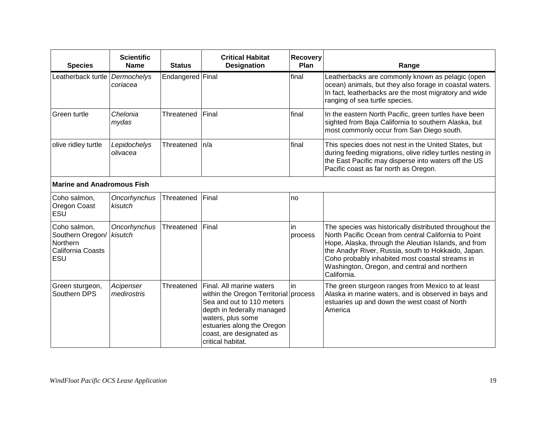| <b>Species</b>                                                           | <b>Scientific</b><br><b>Name</b> | <b>Status</b>    | <b>Critical Habitat</b><br><b>Designation</b>                                                                                                                                   | <b>Recovery</b><br>Plan | Range                                                                                                                                                                                                                                                                                                                                            |
|--------------------------------------------------------------------------|----------------------------------|------------------|---------------------------------------------------------------------------------------------------------------------------------------------------------------------------------|-------------------------|--------------------------------------------------------------------------------------------------------------------------------------------------------------------------------------------------------------------------------------------------------------------------------------------------------------------------------------------------|
| Leatherback turtle                                                       | Dermochelys<br>coriacea          | Endangered Final |                                                                                                                                                                                 | final                   | Leatherbacks are commonly known as pelagic (open<br>ocean) animals, but they also forage in coastal waters.<br>In fact, leatherbacks are the most migratory and wide<br>ranging of sea turtle species.                                                                                                                                           |
| Green turtle                                                             | Chelonia<br>mydas                | Threatened       | Final                                                                                                                                                                           | final                   | In the eastern North Pacific, green turtles have been<br>sighted from Baja California to southern Alaska, but<br>most commonly occur from San Diego south.                                                                                                                                                                                       |
| olive ridley turtle                                                      | Lepidochelys<br>olivacea         | Threatened       | n/a                                                                                                                                                                             | final                   | This species does not nest in the United States, but<br>during feeding migrations, olive ridley turtles nesting in<br>the East Pacific may disperse into waters off the US<br>Pacific coast as far north as Oregon.                                                                                                                              |
| <b>Marine and Anadromous Fish</b>                                        |                                  |                  |                                                                                                                                                                                 |                         |                                                                                                                                                                                                                                                                                                                                                  |
| Coho salmon,<br>Oregon Coast<br>ESU                                      | Oncorhynchus<br>kisutch          | Threatened       | Final                                                                                                                                                                           | no                      |                                                                                                                                                                                                                                                                                                                                                  |
| Coho salmon,<br>Southern Oregon/<br>Northern<br>California Coasts<br>ESU | Oncorhynchus<br>kisutch          | Threatened       | Final                                                                                                                                                                           | in<br>process           | The species was historically distributed throughout the<br>North Pacific Ocean from central California to Point<br>Hope, Alaska, through the Aleutian Islands, and from<br>the Anadyr River, Russia, south to Hokkaido, Japan.<br>Coho probably inhabited most coastal streams in<br>Washington, Oregon, and central and northern<br>California. |
| Green sturgeon,<br>Southern DPS                                          | Acipenser<br>medirostris         | Threatened       | Final. All marine waters<br>within the Oregon Territorial process<br>Sea and out to 110 meters<br>depth in federally managed<br>waters, plus some<br>estuaries along the Oregon | in                      | The green sturgeon ranges from Mexico to at least<br>Alaska in marine waters, and is observed in bays and<br>estuaries up and down the west coast of North<br>America                                                                                                                                                                            |

coast, are designated as

critical habitat.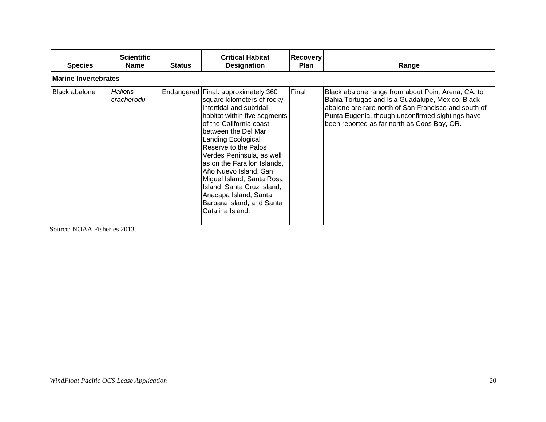| <b>Species</b>       | <b>Scientific</b><br><b>Name</b> | <b>Status</b> | <b>Critical Habitat</b><br><b>Designation</b>                                                                                                                                                                                                                                                                                                                                                                                                           | <b>Recovery</b><br><b>Plan</b> | Range                                                                                                                                                                                                                                                             |  |  |  |  |
|----------------------|----------------------------------|---------------|---------------------------------------------------------------------------------------------------------------------------------------------------------------------------------------------------------------------------------------------------------------------------------------------------------------------------------------------------------------------------------------------------------------------------------------------------------|--------------------------------|-------------------------------------------------------------------------------------------------------------------------------------------------------------------------------------------------------------------------------------------------------------------|--|--|--|--|
|                      | <b>Marine Invertebrates</b>      |               |                                                                                                                                                                                                                                                                                                                                                                                                                                                         |                                |                                                                                                                                                                                                                                                                   |  |  |  |  |
| <b>Black abalone</b> | <b>Haliotis</b><br>cracherodii   |               | Endangered Final. approximately 360<br>square kilometers of rocky<br>intertidal and subtidal<br>habitat within five segments<br>of the California coast<br>lbetween the Del Mar<br>Landing Ecological<br>Reserve to the Palos<br>Verdes Peninsula, as well<br>as on the Farallon Islands,<br>Año Nuevo Island, San<br>Miguel Island, Santa Rosa<br>Island, Santa Cruz Island,<br>Anacapa Island, Santa<br>Barbara Island, and Santa<br>Catalina Island. | Final                          | Black abalone range from about Point Arena, CA, to<br>Bahia Tortugas and Isla Guadalupe, Mexico. Black<br>abalone are rare north of San Francisco and south of<br>Punta Eugenia, though unconfirmed sightings have<br>been reported as far north as Coos Bay, OR. |  |  |  |  |

Source: NOAA Fisheries 2013.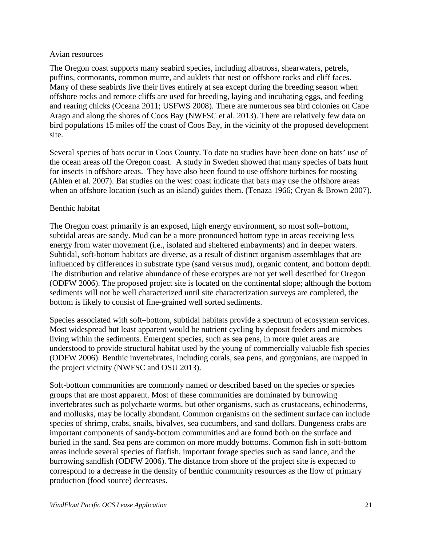#### Avian resources

The Oregon coast supports many seabird species, including albatross, shearwaters, petrels, puffins, cormorants, common murre, and auklets that nest on offshore rocks and cliff faces. Many of these seabirds live their lives entirely at sea except during the breeding season when offshore rocks and remote cliffs are used for breeding, laying and incubating eggs, and feeding and rearing chicks (Oceana 2011; USFWS 2008). There are numerous sea bird colonies on Cape Arago and along the shores of Coos Bay (NWFSC et al. 2013). There are relatively few data on bird populations 15 miles off the coast of Coos Bay, in the vicinity of the proposed development site.

Several species of bats occur in Coos County. To date no studies have been done on bats' use of the ocean areas off the Oregon coast. A study in Sweden showed that many species of bats hunt for insects in offshore areas. They have also been found to use offshore turbines for roosting (Ahlen et al. 2007). Bat studies on the west coast indicate that bats may use the offshore areas when an offshore location (such as an island) guides them. (Tenaza 1966; Cryan & Brown 2007).

#### Benthic habitat

The Oregon coast primarily is an exposed, high energy environment, so most soft–bottom, subtidal areas are sandy. Mud can be a more pronounced bottom type in areas receiving less energy from water movement (i.e., isolated and sheltered embayments) and in deeper waters. Subtidal, soft-bottom habitats are diverse, as a result of distinct organism assemblages that are influenced by differences in substrate type (sand versus mud), organic content, and bottom depth. The distribution and relative abundance of these ecotypes are not yet well described for Oregon (ODFW 2006). The proposed project site is located on the continental slope; although the bottom sediments will not be well characterized until site characterization surveys are completed, the bottom is likely to consist of fine-grained well sorted sediments.

Species associated with soft–bottom, subtidal habitats provide a spectrum of ecosystem services. Most widespread but least apparent would be nutrient cycling by deposit feeders and microbes living within the sediments. Emergent species, such as sea pens, in more quiet areas are understood to provide structural habitat used by the young of commercially valuable fish species (ODFW 2006). Benthic invertebrates, including corals, sea pens, and gorgonians, are mapped in the project vicinity (NWFSC and OSU 2013).

Soft-bottom communities are commonly named or described based on the species or species groups that are most apparent. Most of these communities are dominated by burrowing invertebrates such as polychaete worms, but other organisms, such as crustaceans, echinoderms, and mollusks, may be locally abundant. Common organisms on the sediment surface can include species of shrimp, crabs, snails, bivalves, sea cucumbers, and sand dollars. Dungeness crabs are important components of sandy-bottom communities and are found both on the surface and buried in the sand. Sea pens are common on more muddy bottoms. Common fish in soft-bottom areas include several species of flatfish, important forage species such as sand lance, and the burrowing sandfish (ODFW 2006). The distance from shore of the project site is expected to correspond to a decrease in the density of benthic community resources as the flow of primary production (food source) decreases.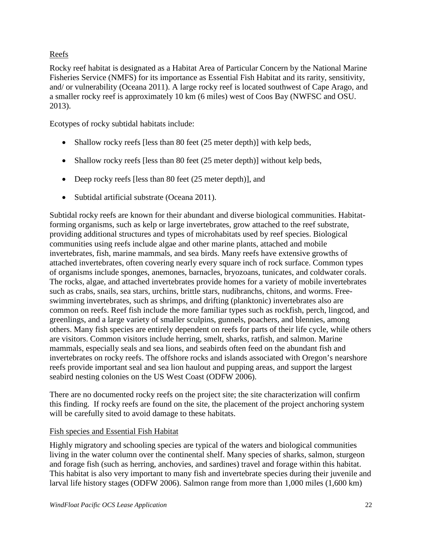# Reefs

Rocky reef habitat is designated as a Habitat Area of Particular Concern by the National Marine Fisheries Service (NMFS) for its importance as Essential Fish Habitat and its rarity, sensitivity, and/ or vulnerability (Oceana 2011). A large rocky reef is located southwest of Cape Arago, and a smaller rocky reef is approximately 10 km (6 miles) west of Coos Bay (NWFSC and OSU. 2013).

Ecotypes of rocky subtidal habitats include:

- Shallow rocky reefs [less than 80 feet (25 meter depth)] with kelp beds,
- Shallow rocky reefs [less than 80 feet (25 meter depth)] without kelp beds,
- Deep rocky reefs [less than 80 feet (25 meter depth)], and
- Subtidal artificial substrate (Oceana 2011).

Subtidal rocky reefs are known for their abundant and diverse biological communities. Habitatforming organisms, such as kelp or large invertebrates, grow attached to the reef substrate, providing additional structures and types of microhabitats used by reef species. Biological communities using reefs include algae and other marine plants, attached and mobile invertebrates, fish, marine mammals, and sea birds. Many reefs have extensive growths of attached invertebrates, often covering nearly every square inch of rock surface. Common types of organisms include sponges, anemones, barnacles, bryozoans, tunicates, and coldwater corals. The rocks, algae, and attached invertebrates provide homes for a variety of mobile invertebrates such as crabs, snails, sea stars, urchins, brittle stars, nudibranchs, chitons, and worms. Freeswimming invertebrates, such as shrimps, and drifting (planktonic) invertebrates also are common on reefs. Reef fish include the more familiar types such as rockfish, perch, lingcod, and greenlings, and a large variety of smaller sculpins, gunnels, poachers, and blennies, among others. Many fish species are entirely dependent on reefs for parts of their life cycle, while others are visitors. Common visitors include herring, smelt, sharks, ratfish, and salmon. Marine mammals, especially seals and sea lions, and seabirds often feed on the abundant fish and invertebrates on rocky reefs. The offshore rocks and islands associated with Oregon's nearshore reefs provide important seal and sea lion haulout and pupping areas, and support the largest seabird nesting colonies on the US West Coast (ODFW 2006).

There are no documented rocky reefs on the project site; the site characterization will confirm this finding. If rocky reefs are found on the site, the placement of the project anchoring system will be carefully sited to avoid damage to these habitats.

### Fish species and Essential Fish Habitat

Highly migratory and schooling species are typical of the waters and biological communities living in the water column over the continental shelf. Many species of sharks, salmon, sturgeon and forage fish (such as herring, anchovies, and sardines) travel and forage within this habitat. This habitat is also very important to many fish and invertebrate species during their juvenile and larval life history stages (ODFW 2006). Salmon range from more than 1,000 miles (1,600 km)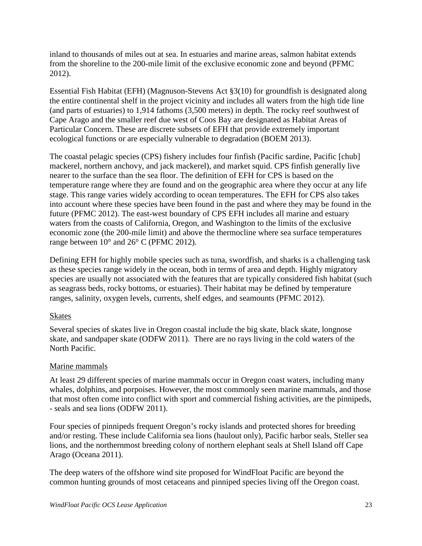inland to thousands of miles out at sea. In estuaries and marine areas, salmon habitat extends from the shoreline to the 200-mile limit of the exclusive economic zone and beyond (PFMC 2012).

Essential Fish Habitat (EFH) (Magnuson-Stevens Act §3(10) for groundfish is designated along the entire continental shelf in the project vicinity and includes all waters from the high tide line (and parts of estuaries) to 1,914 fathoms (3,500 meters) in depth. The rocky reef southwest of Cape Arago and the smaller reef due west of Coos Bay are designated as Habitat Areas of Particular Concern. These are discrete subsets of EFH that provide extremely important ecological functions or are especially vulnerable to degradation (BOEM 2013).

The coastal pelagic species (CPS) fishery includes four finfish (Pacific sardine, Pacific [chub] mackerel, northern anchovy, and jack mackerel), and market squid. CPS finfish generally live nearer to the surface than the sea floor. The definition of EFH for CPS is based on the temperature range where they are found and on the geographic area where they occur at any life stage. This range varies widely according to ocean temperatures. The EFH for CPS also takes into account where these species have been found in the past and where they may be found in the future (PFMC 2012). The east-west boundary of CPS EFH includes all marine and estuary waters from the coasts of California, Oregon, and Washington to the limits of the exclusive economic zone (the 200-mile limit) and above the thermocline where sea surface temperatures range between 10° and 26° C (PFMC 2012).

Defining EFH for highly mobile species such as tuna, swordfish, and sharks is a challenging task as these species range widely in the ocean, both in terms of area and depth. Highly migratory species are usually not associated with the features that are typically considered fish habitat (such as seagrass beds, rocky bottoms, or estuaries). Their habitat may be defined by temperature ranges, salinity, oxygen levels, currents, shelf edges, and seamounts (PFMC 2012).

### Skates

Several species of skates live in Oregon coastal include the big skate, black skate, longnose skate, and sandpaper skate (ODFW 2011). There are no rays living in the cold waters of the North Pacific.

### Marine mammals

At least 29 different species of marine mammals occur in Oregon coast waters, including many whales, dolphins, and porpoises. However, the most commonly seen marine mammals, and those that most often come into conflict with sport and commercial fishing activities, are the pinnipeds, - seals and sea lions (ODFW 2011).

Four species of pinnipeds frequent Oregon's rocky islands and protected shores for breeding and/or resting. These include California sea lions (haulout only), Pacific harbor seals, Steller sea lions, and the northernmost breeding colony of northern elephant seals at Shell Island off Cape Arago (Oceana 2011).

The deep waters of the offshore wind site proposed for WindFloat Pacific are beyond the common hunting grounds of most cetaceans and pinniped species living off the Oregon coast.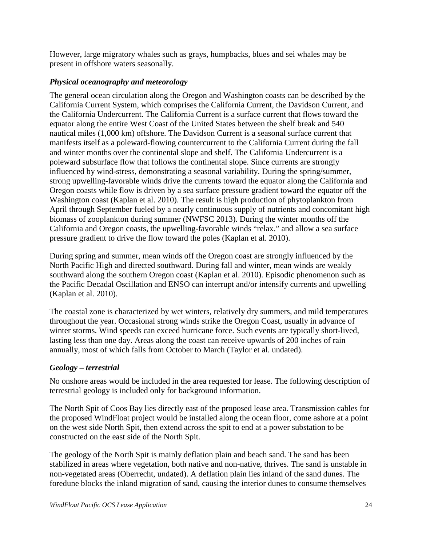However, large migratory whales such as grays, humpbacks, blues and sei whales may be present in offshore waters seasonally.

# *Physical oceanography and meteorology*

The general ocean circulation along the Oregon and Washington coasts can be described by the California Current System, which comprises the California Current, the Davidson Current, and the California Undercurrent. The California Current is a surface current that flows toward the equator along the entire West Coast of the United States between the shelf break and 540 nautical miles (1,000 km) offshore. The Davidson Current is a seasonal surface current that manifests itself as a poleward-flowing countercurrent to the California Current during the fall and winter months over the continental slope and shelf. The California Undercurrent is a poleward subsurface flow that follows the continental slope. Since currents are strongly influenced by wind-stress, demonstrating a seasonal variability. During the spring/summer, strong upwelling-favorable winds drive the currents toward the equator along the California and Oregon coasts while flow is driven by a sea surface pressure gradient toward the equator off the Washington coast (Kaplan et al. 2010). The result is high production of phytoplankton from April through September fueled by a nearly continuous supply of nutrients and concomitant high biomass of zooplankton during summer (NWFSC 2013). During the winter months off the California and Oregon coasts, the upwelling-favorable winds "relax." and allow a sea surface pressure gradient to drive the flow toward the poles (Kaplan et al. 2010).

During spring and summer, mean winds off the Oregon coast are strongly influenced by the North Pacific High and directed southward. During fall and winter, mean winds are weakly southward along the southern Oregon coast (Kaplan et al. 2010). Episodic phenomenon such as the Pacific Decadal Oscillation and ENSO can interrupt and/or intensify currents and upwelling (Kaplan et al. 2010).

The coastal zone is characterized by wet winters, relatively dry summers, and mild temperatures throughout the year. Occasional strong winds strike the Oregon Coast, usually in advance of winter storms. Wind speeds can exceed hurricane force. Such events are typically short-lived, lasting less than one day. Areas along the coast can receive upwards of 200 inches of rain annually, most of which falls from October to March (Taylor et al. undated).

### *Geology – terrestrial*

No onshore areas would be included in the area requested for lease. The following description of terrestrial geology is included only for background information.

The North Spit of Coos Bay lies directly east of the proposed lease area. Transmission cables for the proposed WindFloat project would be installed along the ocean floor, come ashore at a point on the west side North Spit, then extend across the spit to end at a power substation to be constructed on the east side of the North Spit.

The geology of the North Spit is mainly deflation plain and beach sand. The sand has been stabilized in areas where vegetation, both native and non-native, thrives. The sand is unstable in non-vegetated areas (Oberrecht, undated). A deflation plain lies inland of the sand dunes. The foredune blocks the inland migration of sand, causing the interior dunes to consume themselves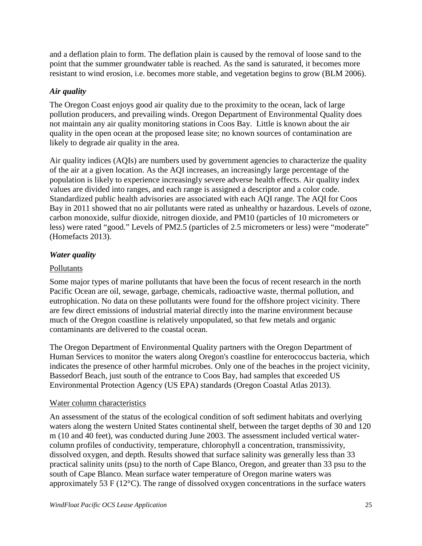and a deflation plain to form. The deflation plain is caused by the removal of loose sand to the point that the summer groundwater table is reached. As the sand is saturated, it becomes more resistant to wind erosion, i.e. becomes more stable, and vegetation begins to grow (BLM 2006).

# *Air quality*

The Oregon Coast enjoys good air quality due to the proximity to the ocean, lack of large pollution producers, and prevailing winds. Oregon Department of Environmental Quality does not maintain any air quality monitoring stations in Coos Bay. Little is known about the air quality in the open ocean at the proposed lease site; no known sources of contamination are likely to degrade air quality in the area.

Air quality indices (AQIs) are numbers used by government agencies to characterize the quality of the air at a given location. As the AQI increases, an increasingly large percentage of the population is likely to experience increasingly severe adverse health effects. Air quality index values are divided into ranges, and each range is assigned a descriptor and a color code. Standardized public health advisories are associated with each AQI range. The AQI for Coos Bay in 2011 showed that no air pollutants were rated as unhealthy or hazardous. Levels of ozone, carbon monoxide, sulfur dioxide, nitrogen dioxide, and PM10 (particles of 10 micrometers or less) were rated "good." Levels of PM2.5 (particles of 2.5 micrometers or less) were "moderate" (Homefacts 2013).

# *Water quality*

# Pollutants

Some major types of marine pollutants that have been the focus of recent research in the north Pacific Ocean are oil, sewage, garbage, chemicals, radioactive waste, thermal pollution, and eutrophication. No data on these pollutants were found for the offshore project vicinity. There are few direct emissions of industrial material directly into the marine environment because much of the Oregon coastline is relatively unpopulated, so that few metals and organic contaminants are delivered to the coastal ocean.

The Oregon Department of Environmental Quality partners with the Oregon Department of Human Services to monitor the waters along Oregon's coastline for enterococcus bacteria, which indicates the presence of other harmful microbes. Only one of the beaches in the project vicinity, Bassedorf Beach, just south of the entrance to Coos Bay, had samples that exceeded US Environmental Protection Agency (US EPA) standards (Oregon Coastal Atlas 2013).

### Water column characteristics

An assessment of the status of the ecological condition of soft sediment habitats and overlying waters along the western United States continental shelf, between the target depths of 30 and 120 m (10 and 40 feet), was conducted during June 2003. The assessment included vertical watercolumn profiles of conductivity, temperature, chlorophyll a concentration, transmissivity, dissolved oxygen, and depth. Results showed that surface salinity was generally less than 33 practical salinity units (psu) to the north of Cape Blanco, Oregon, and greater than 33 psu to the south of Cape Blanco. Mean surface water temperature of Oregon marine waters was approximately 53 F (12°C). The range of dissolved oxygen concentrations in the surface waters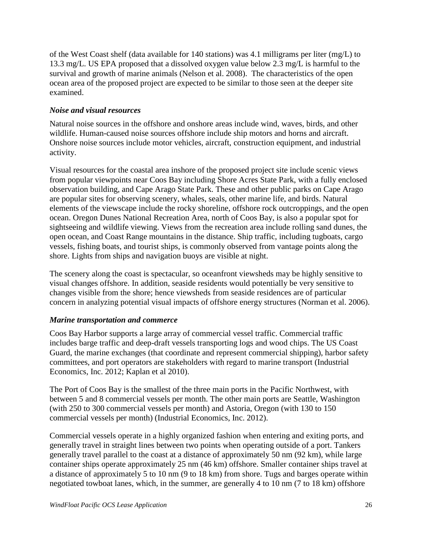of the West Coast shelf (data available for 140 stations) was 4.1 milligrams per liter (mg/L) to 13.3 mg/L. US EPA proposed that a dissolved oxygen value below 2.3 mg/L is harmful to the survival and growth of marine animals (Nelson et al. 2008). The characteristics of the open ocean area of the proposed project are expected to be similar to those seen at the deeper site examined.

# *Noise and visual resources*

Natural noise sources in the offshore and onshore areas include wind, waves, birds, and other wildlife. Human-caused noise sources offshore include ship motors and horns and aircraft. Onshore noise sources include motor vehicles, aircraft, construction equipment, and industrial activity.

Visual resources for the coastal area inshore of the proposed project site include scenic views from popular viewpoints near Coos Bay including Shore Acres State Park, with a fully enclosed observation building, and Cape Arago State Park. These and other public parks on Cape Arago are popular sites for observing scenery, whales, seals, other marine life, and birds. Natural elements of the viewscape include the rocky shoreline, offshore rock outcroppings, and the open ocean. Oregon Dunes National Recreation Area, north of Coos Bay, is also a popular spot for sightseeing and wildlife viewing. Views from the recreation area include rolling sand dunes, the open ocean, and Coast Range mountains in the distance. Ship traffic, including tugboats, cargo vessels, fishing boats, and tourist ships, is commonly observed from vantage points along the shore. Lights from ships and navigation buoys are visible at night.

The scenery along the coast is spectacular, so oceanfront viewsheds may be highly sensitive to visual changes offshore. In addition, seaside residents would potentially be very sensitive to changes visible from the shore; hence viewsheds from seaside residences are of particular concern in analyzing potential visual impacts of offshore energy structures (Norman et al. 2006).

# *Marine transportation and commerce*

Coos Bay Harbor supports a large array of commercial vessel traffic. Commercial traffic includes barge traffic and deep-draft vessels transporting logs and wood chips. The US Coast Guard, the marine exchanges (that coordinate and represent commercial shipping), harbor safety committees, and port operators are stakeholders with regard to marine transport (Industrial Economics, Inc. 2012; Kaplan et al 2010).

The Port of Coos Bay is the smallest of the three main ports in the Pacific Northwest, with between 5 and 8 commercial vessels per month. The other main ports are Seattle, Washington (with 250 to 300 commercial vessels per month) and Astoria, Oregon (with 130 to 150 commercial vessels per month) (Industrial Economics, Inc. 2012).

Commercial vessels operate in a highly organized fashion when entering and exiting ports, and generally travel in straight lines between two points when operating outside of a port. Tankers generally travel parallel to the coast at a distance of approximately 50 nm (92 km), while large container ships operate approximately 25 nm (46 km) offshore. Smaller container ships travel at a distance of approximately 5 to 10 nm (9 to 18 km) from shore. Tugs and barges operate within negotiated towboat lanes, which, in the summer, are generally 4 to 10 nm (7 to 18 km) offshore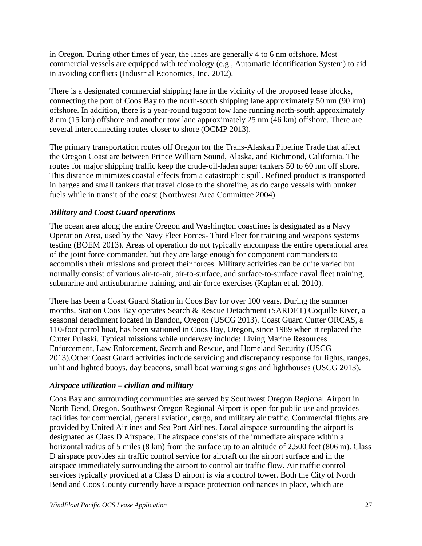in Oregon. During other times of year, the lanes are generally 4 to 6 nm offshore. Most commercial vessels are equipped with technology (e.g., Automatic Identification System) to aid in avoiding conflicts (Industrial Economics, Inc. 2012).

There is a designated commercial shipping lane in the vicinity of the proposed lease blocks, connecting the port of Coos Bay to the north-south shipping lane approximately 50 nm (90 km) offshore. In addition, there is a year-round tugboat tow lane running north-south approximately 8 nm (15 km) offshore and another tow lane approximately 25 nm (46 km) offshore. There are several interconnecting routes closer to shore (OCMP 2013).

The primary transportation routes off Oregon for the Trans-Alaskan Pipeline Trade that affect the Oregon Coast are between Prince William Sound, Alaska, and Richmond, California. The routes for major shipping traffic keep the crude-oil-laden super tankers 50 to 60 nm off shore. This distance minimizes coastal effects from a catastrophic spill. Refined product is transported in barges and small tankers that travel close to the shoreline, as do cargo vessels with bunker fuels while in transit of the coast (Northwest Area Committee 2004).

# *Military and Coast Guard operations*

The ocean area along the entire Oregon and Washington coastlines is designated as a Navy Operation Area, used by the Navy Fleet Forces- Third Fleet for training and weapons systems testing (BOEM 2013). Areas of operation do not typically encompass the entire operational area of the joint force commander, but they are large enough for component commanders to accomplish their missions and protect their forces. Military activities can be quite varied but normally consist of various air-to-air, air-to-surface, and surface-to-surface naval fleet training, submarine and antisubmarine training, and air force exercises (Kaplan et al. 2010).

There has been a Coast Guard Station in Coos Bay for over 100 years. During the summer months, Station Coos Bay operates Search & Rescue Detachment (SARDET) Coquille River, a seasonal detachment located in Bandon, Oregon (USCG 2013). Coast Guard Cutter ORCAS, a 110-foot patrol boat, has been stationed in Coos Bay, Oregon, since 1989 when it replaced the Cutter Pulaski. Typical missions while underway include: Living Marine Resources Enforcement, Law Enforcement, Search and Rescue, and Homeland Security (USCG 2013).Other Coast Guard activities include servicing and discrepancy response for lights, ranges, unlit and lighted buoys, day beacons, small boat warning signs and lighthouses (USCG 2013).

### *Airspace utilization – civilian and military*

Coos Bay and surrounding communities are served by Southwest Oregon Regional Airport in North Bend, Oregon. Southwest Oregon Regional Airport is open for public use and provides facilities for commercial, general aviation, cargo, and military air traffic. Commercial flights are provided by United Airlines and Sea Port Airlines. Local airspace surrounding the airport is designated as Class D Airspace. The airspace consists of the immediate airspace within a horizontal radius of 5 miles (8 km) from the surface up to an altitude of 2,500 feet (806 m). Class D airspace provides air traffic control service for aircraft on the airport surface and in the airspace immediately surrounding the airport to control air traffic flow. Air traffic control services typically provided at a Class D airport is via a control tower. Both the City of North Bend and Coos County currently have airspace protection ordinances in place, which are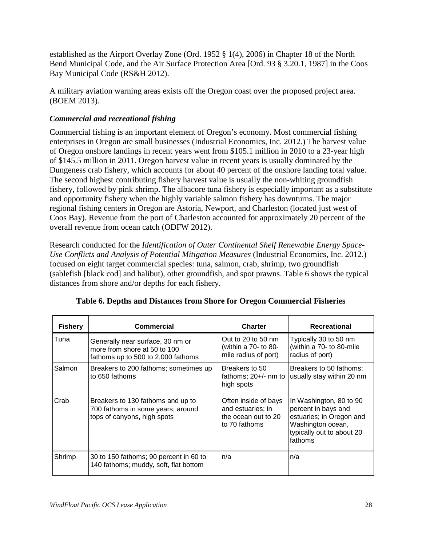established as the Airport Overlay Zone (Ord. 1952 § 1(4), 2006) in Chapter 18 of the North Bend Municipal Code, and the Air Surface Protection Area [Ord. 93 § 3.20.1, 1987] in the Coos Bay Municipal Code (RS&H 2012).

A military aviation warning areas exists off the Oregon coast over the proposed project area. (BOEM 2013).

# *Commercial and recreational fishing*

Commercial fishing is an important element of Oregon's economy. Most commercial fishing enterprises in Oregon are small businesses (Industrial Economics, Inc. 2012.) The harvest value of Oregon onshore landings in recent years went from \$105.1 million in 2010 to a 23-year high of \$145.5 million in 2011. Oregon harvest value in recent years is usually dominated by the Dungeness crab fishery, which accounts for about 40 percent of the onshore landing total value. The second highest contributing fishery harvest value is usually the non-whiting groundfish fishery, followed by pink shrimp. The albacore tuna fishery is especially important as a substitute and opportunity fishery when the highly variable salmon fishery has downturns. The major regional fishing centers in Oregon are Astoria, Newport, and Charleston (located just west of Coos Bay). Revenue from the port of Charleston accounted for approximately 20 percent of the overall revenue from ocean catch (ODFW 2012).

Research conducted for the *Identification of Outer Continental Shelf Renewable Energy Space-Use Conflicts and Analysis of Potential Mitigation Measures* (Industrial Economics, Inc. 2012.) focused on eight target commercial species: tuna, salmon, crab, shrimp, two groundfish (sablefish [black cod] and halibut), other groundfish, and spot prawns. Table 6 shows the typical distances from shore and/or depths for each fishery.

| <b>Fishery</b> | Commercial                                                                                             | <b>Charter</b>                                                                    | <b>Recreational</b>                                                                                                                     |
|----------------|--------------------------------------------------------------------------------------------------------|-----------------------------------------------------------------------------------|-----------------------------------------------------------------------------------------------------------------------------------------|
| Tuna           | Generally near surface, 30 nm or<br>more from shore at 50 to 100<br>fathoms up to 500 to 2,000 fathoms | Out to 20 to 50 $nm$<br>(within a 70- to 80-<br>mile radius of port)              | Typically 30 to 50 nm<br>(within a 70- to 80-mile<br>radius of port)                                                                    |
| Salmon         | Breakers to 200 fathoms; sometimes up<br>to 650 fathoms                                                | Breakers to 50<br>fathoms; $20+/-$ nm to<br>high spots                            | Breakers to 50 fathoms;<br>usually stay within 20 nm                                                                                    |
| Crab           | Breakers to 130 fathoms and up to<br>700 fathoms in some years; around<br>tops of canyons, high spots  | Often inside of bays<br>and estuaries; in<br>the ocean out to 20<br>to 70 fathoms | In Washington, 80 to 90<br>percent in bays and<br>estuaries; in Oregon and<br>Washington ocean,<br>typically out to about 20<br>fathoms |
| Shrimp         | 30 to 150 fathoms; 90 percent in 60 to<br>140 fathoms; muddy, soft, flat bottom                        | n/a                                                                               | n/a                                                                                                                                     |

### **Table 6. Depths and Distances from Shore for Oregon Commercial Fisheries**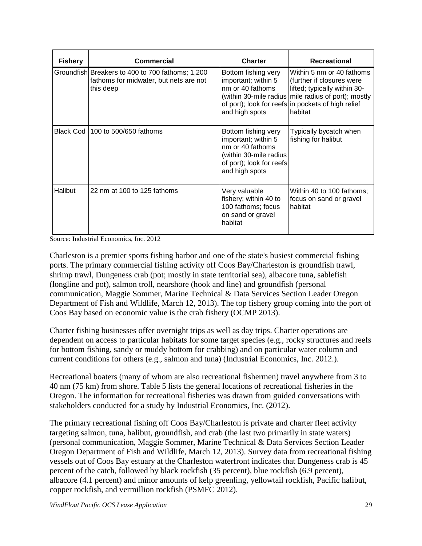| <b>Fishery</b> | Commercial                                                                                              | <b>Charter</b>                                                                                                                         | <b>Recreational</b>                                                                                                                                                                                            |
|----------------|---------------------------------------------------------------------------------------------------------|----------------------------------------------------------------------------------------------------------------------------------------|----------------------------------------------------------------------------------------------------------------------------------------------------------------------------------------------------------------|
|                | Groundfish Breakers to 400 to 700 fathoms; 1,200<br>fathoms for midwater, but nets are not<br>this deep | Bottom fishing very<br>important; within 5<br>nm or 40 fathoms<br>and high spots                                                       | Within 5 nm or 40 fathoms<br>(further if closures were<br>lifted; typically within 30-<br>(within 30-mile radius mile radius of port); mostly<br>of port); look for reefs in pockets of high relief<br>habitat |
| Black Cod      | 100 to 500/650 fathoms                                                                                  | Bottom fishing very<br>important; within 5<br>nm or 40 fathoms<br>(within 30-mile radius<br>of port); look for reefs<br>and high spots | Typically bycatch when<br>fishing for halibut                                                                                                                                                                  |
| <b>Halibut</b> | 22 nm at 100 to 125 fathoms                                                                             | Very valuable<br>fishery; within 40 to<br>100 fathoms; focus<br>on sand or gravel<br>habitat                                           | Within 40 to 100 fathoms;<br>focus on sand or gravel<br>habitat                                                                                                                                                |

Source: Industrial Economics, Inc. 2012

Charleston is a premier sports fishing harbor and one of the state's busiest commercial fishing ports. The primary commercial fishing activity off Coos Bay/Charleston is groundfish trawl, shrimp trawl, Dungeness crab (pot; mostly in state territorial sea), albacore tuna, sablefish (longline and pot), salmon troll, nearshore (hook and line) and groundfish (personal communication, Maggie Sommer, Marine Technical & Data Services Section Leader Oregon Department of Fish and Wildlife, March 12, 2013). The top fishery group coming into the port of Coos Bay based on economic value is the crab fishery (OCMP 2013).

Charter fishing businesses offer overnight trips as well as day trips. Charter operations are dependent on access to particular habitats for some target species (e.g., rocky structures and reefs for bottom fishing, sandy or muddy bottom for crabbing) and on particular water column and current conditions for others (e.g., salmon and tuna) (Industrial Economics, Inc. 2012.).

Recreational boaters (many of whom are also recreational fishermen) travel anywhere from 3 to 40 nm (75 km) from shore. Table 5 lists the general locations of recreational fisheries in the Oregon. The information for recreational fisheries was drawn from guided conversations with stakeholders conducted for a study by Industrial Economics, Inc. (2012).

The primary recreational fishing off Coos Bay/Charleston is private and charter fleet activity targeting salmon, tuna, halibut, groundfish, and crab (the last two primarily in state waters) (personal communication, Maggie Sommer, Marine Technical & Data Services Section Leader Oregon Department of Fish and Wildlife, March 12, 2013). Survey data from recreational fishing vessels out of Coos Bay estuary at the Charleston waterfront indicates that Dungeness crab is 45 percent of the catch, followed by black rockfish (35 percent), blue rockfish (6.9 percent), albacore (4.1 percent) and minor amounts of kelp greenling, yellowtail rockfish, Pacific halibut, copper rockfish, and vermillion rockfish (PSMFC 2012).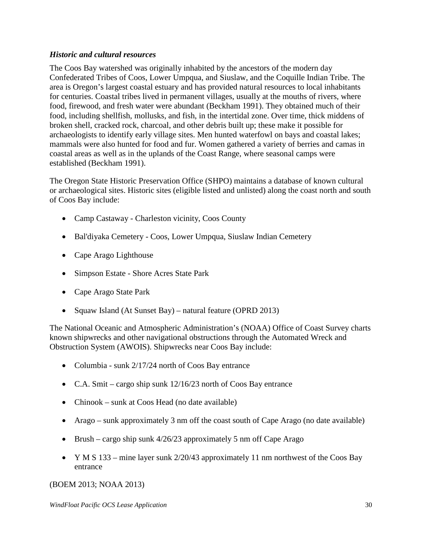#### *Historic and cultural resources*

The Coos Bay watershed was originally inhabited by the ancestors of the modern day Confederated Tribes of Coos, Lower Umpqua, and Siuslaw, and the Coquille Indian Tribe. The area is Oregon's largest coastal estuary and has provided natural resources to local inhabitants for centuries. Coastal tribes lived in permanent villages, usually at the mouths of rivers, where food, firewood, and fresh water were abundant (Beckham 1991). They obtained much of their food, including shellfish, mollusks, and fish, in the intertidal zone. Over time, thick middens of broken shell, cracked rock, charcoal, and other debris built up; these make it possible for archaeologists to identify early village sites. Men hunted waterfowl on bays and coastal lakes; mammals were also hunted for food and fur. Women gathered a variety of berries and camas in coastal areas as well as in the uplands of the Coast Range, where seasonal camps were established (Beckham 1991).

The Oregon State Historic Preservation Office (SHPO) maintains a database of known cultural or archaeological sites. Historic sites (eligible listed and unlisted) along the coast north and south of Coos Bay include:

- Camp Castaway Charleston vicinity, Coos County
- Bal'diyaka Cemetery Coos, Lower Umpqua, Siuslaw Indian Cemetery
- Cape Arago Lighthouse
- Simpson Estate Shore Acres State Park
- Cape Arago State Park
- Squaw Island (At Sunset Bay) natural feature (OPRD 2013)

The National Oceanic and Atmospheric Administration's (NOAA) Office of Coast Survey charts known shipwrecks and other navigational obstructions through the Automated Wreck and Obstruction System (AWOIS). Shipwrecks near Coos Bay include:

- Columbia sunk 2/17/24 north of Coos Bay entrance
- C.A. Smit cargo ship sunk 12/16/23 north of Coos Bay entrance
- Chinook sunk at Coos Head (no date available)
- Arago sunk approximately 3 nm off the coast south of Cape Arago (no date available)
- Brush cargo ship sunk  $4/26/23$  approximately 5 nm off Cape Arago
- Y M S 133 mine layer sunk 2/20/43 approximately 11 nm northwest of the Coos Bay entrance

### (BOEM 2013; NOAA 2013)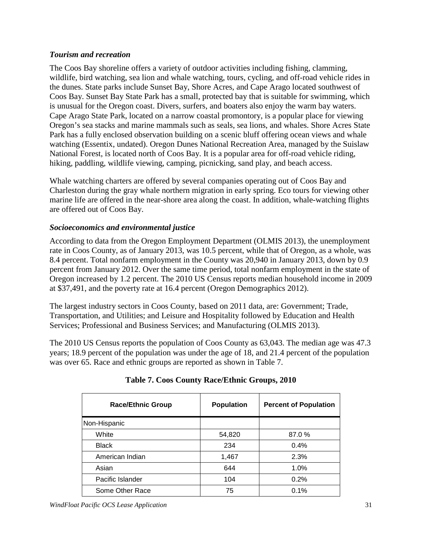#### *Tourism and recreation*

The Coos Bay shoreline offers a variety of outdoor activities including fishing, clamming, wildlife, bird watching, sea lion and whale watching, tours, cycling, and off-road vehicle rides in the dunes. State parks include Sunset Bay, Shore Acres, and Cape Arago located southwest of Coos Bay. Sunset Bay State Park has a small, protected bay that is suitable for swimming, which is unusual for the Oregon coast. Divers, surfers, and boaters also enjoy the warm bay waters. Cape Arago State Park, located on a narrow coastal promontory, is a popular place for viewing Oregon's sea stacks and marine mammals such as seals, sea lions, and whales. Shore Acres State Park has a fully enclosed observation building on a scenic bluff offering ocean views and whale watching (Essentix, undated). Oregon Dunes National Recreation Area, managed by the Suislaw National Forest, is located north of Coos Bay. It is a popular area for off-road vehicle riding, hiking, paddling, wildlife viewing, camping, picnicking, sand play, and beach access.

Whale watching charters are offered by several companies operating out of Coos Bay and Charleston during the gray whale northern migration in early spring. Eco tours for viewing other marine life are offered in the near-shore area along the coast. In addition, whale-watching flights are offered out of Coos Bay.

# *Socioeconomics and environmental justice*

According to data from the Oregon Employment Department (OLMIS 2013), the unemployment rate in Coos County, as of January 2013, was 10.5 percent, while that of Oregon, as a whole, was 8.4 percent. Total nonfarm employment in the County was 20,940 in January 2013, down by 0.9 percent from January 2012. Over the same time period, total nonfarm employment in the state of Oregon increased by 1.2 percent. The 2010 US Census reports median household income in 2009 at \$37,491, and the poverty rate at 16.4 percent (Oregon Demographics 2012).

The largest industry sectors in Coos County, based on 2011 data, are: Government; Trade, Transportation, and Utilities; and Leisure and Hospitality followed by Education and Health Services; Professional and Business Services; and Manufacturing (OLMIS 2013).

The 2010 US Census reports the population of Coos County as 63,043. The median age was 47.3 years; 18.9 percent of the population was under the age of 18, and 21.4 percent of the population was over 65. Race and ethnic groups are reported as shown in Table 7.

| <b>Race/Ethnic Group</b> | <b>Population</b> | <b>Percent of Population</b> |
|--------------------------|-------------------|------------------------------|
| Non-Hispanic             |                   |                              |
| White                    | 54,820            | 87.0 %                       |
| <b>Black</b>             | 234               | 0.4%                         |
| American Indian          | 1,467             | 2.3%                         |
| Asian                    | 644               | 1.0%                         |
| Pacific Islander         | 104               | 0.2%                         |
| Some Other Race          | 75                | 0.1%                         |

### **Table 7. Coos County Race/Ethnic Groups, 2010**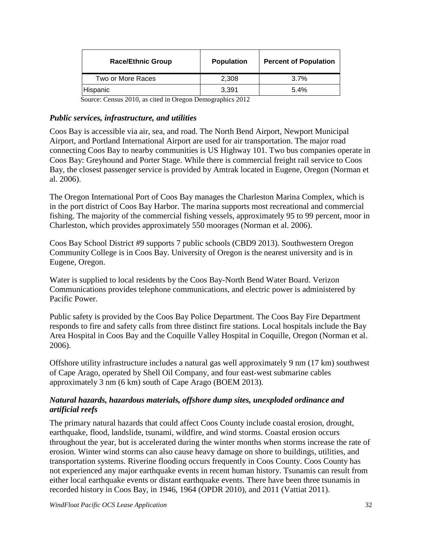| <b>Race/Ethnic Group</b> | <b>Population</b> | <b>Percent of Population</b> |
|--------------------------|-------------------|------------------------------|
| Two or More Races        | 2.308             | $3.7\%$                      |
| Hispanic                 | 3.391             | 5.4%                         |

Source: Census 2010, as cited in Oregon Demographics 2012

#### *Public services, infrastructure, and utilities*

Coos Bay is accessible via air, sea, and road. The North Bend Airport, Newport Municipal Airport, and Portland International Airport are used for air transportation. The major road connecting Coos Bay to nearby communities is US Highway 101. Two bus companies operate in Coos Bay: Greyhound and Porter Stage. While there is commercial freight rail service to Coos Bay, the closest passenger service is provided by Amtrak located in Eugene, Oregon (Norman et al. 2006).

The Oregon International Port of Coos Bay manages the Charleston Marina Complex, which is in the port district of Coos Bay Harbor. The marina supports most recreational and commercial fishing. The majority of the commercial fishing vessels, approximately 95 to 99 percent, moor in Charleston, which provides approximately 550 moorages (Norman et al. 2006).

Coos Bay School District #9 supports 7 public schools (CBD9 2013). Southwestern Oregon Community College is in Coos Bay. University of Oregon is the nearest university and is in Eugene, Oregon.

Water is supplied to local residents by the Coos Bay-North Bend Water Board. Verizon Communications provides telephone communications, and electric power is administered by Pacific Power.

Public safety is provided by the Coos Bay Police Department. The Coos Bay Fire Department responds to fire and safety calls from three distinct fire stations. Local hospitals include the Bay Area Hospital in Coos Bay and the Coquille Valley Hospital in Coquille, Oregon (Norman et al. 2006).

Offshore utility infrastructure includes a natural gas well approximately 9 nm (17 km) southwest of Cape Arago, operated by Shell Oil Company, and four east-west submarine cables approximately 3 nm (6 km) south of Cape Arago (BOEM 2013).

#### *Natural hazards, hazardous materials, offshore dump sites, unexploded ordinance and artificial reefs*

The primary natural hazards that could affect Coos County include coastal erosion, drought, earthquake, flood, landslide, tsunami, wildfire, and wind storms. Coastal erosion occurs throughout the year, but is accelerated during the winter months when storms increase the rate of erosion. Winter wind storms can also cause heavy damage on shore to buildings, utilities, and transportation systems. Riverine flooding occurs frequently in Coos County. Coos County has not experienced any major earthquake events in recent human history. Tsunamis can result from either local earthquake events or distant earthquake events. There have been three tsunamis in recorded history in Coos Bay, in 1946, 1964 (OPDR 2010), and 2011 (Vattiat 2011).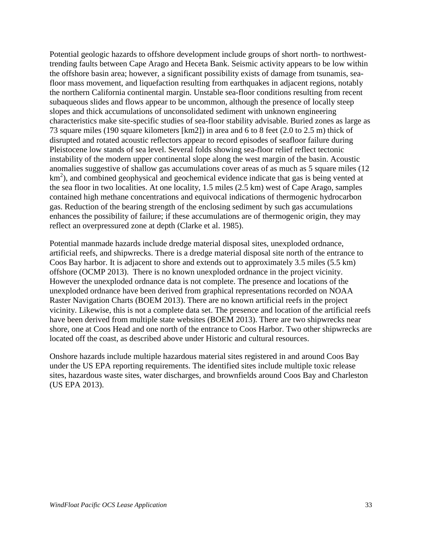Potential geologic hazards to offshore development include groups of short north- to northwesttrending faults between Cape Arago and Heceta Bank. Seismic activity appears to be low within the offshore basin area; however, a significant possibility exists of damage from tsunamis, seafloor mass movement, and liquefaction resulting from earthquakes in adjacent regions, notably the northern California continental margin. Unstable sea-floor conditions resulting from recent subaqueous slides and flows appear to be uncommon, although the presence of locally steep slopes and thick accumulations of unconsolidated sediment with unknown engineering characteristics make site-specific studies of sea-floor stability advisable. Buried zones as large as 73 square miles (190 square kilometers [km2]) in area and 6 to 8 feet (2.0 to 2.5 m) thick of disrupted and rotated acoustic reflectors appear to record episodes of seafloor failure during Pleistocene low stands of sea level. Several folds showing sea-floor relief reflect tectonic instability of the modern upper continental slope along the west margin of the basin. Acoustic anomalies suggestive of shallow gas accumulations cover areas of as much as 5 square miles (12  $km<sup>2</sup>$ ), and combined geophysical and geochemical evidence indicate that gas is being vented at the sea floor in two localities. At one locality, 1.5 miles (2.5 km) west of Cape Arago, samples contained high methane concentrations and equivocal indications of thermogenic hydrocarbon gas. Reduction of the bearing strength of the enclosing sediment by such gas accumulations enhances the possibility of failure; if these accumulations are of thermogenic origin, they may reflect an overpressured zone at depth (Clarke et al. 1985).

Potential manmade hazards include dredge material disposal sites, unexploded ordnance, artificial reefs, and shipwrecks. There is a dredge material disposal site north of the entrance to Coos Bay harbor. It is adjacent to shore and extends out to approximately 3.5 miles (5.5 km) offshore (OCMP 2013). There is no known unexploded ordnance in the project vicinity. However the unexploded ordnance data is not complete. The presence and locations of the unexploded ordnance have been derived from graphical representations recorded on NOAA Raster Navigation Charts (BOEM 2013). There are no known artificial reefs in the project vicinity. Likewise, this is not a complete data set. The presence and location of the artificial reefs have been derived from multiple state websites (BOEM 2013). There are two shipwrecks near shore, one at Coos Head and one north of the entrance to Coos Harbor. Two other shipwrecks are located off the coast, as described above under Historic and cultural resources.

Onshore hazards include multiple hazardous material sites registered in and around Coos Bay under the US EPA reporting requirements. The identified sites include multiple toxic release sites, hazardous waste sites, water discharges, and brownfields around Coos Bay and Charleston (US EPA 2013).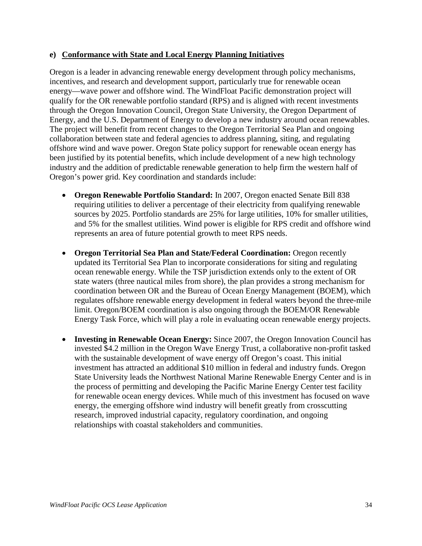#### **e) Conformance with State and Local Energy Planning Initiatives**

Oregon is a leader in advancing renewable energy development through policy mechanisms, incentives, and research and development support, particularly true for renewable ocean energy—wave power and offshore wind. The WindFloat Pacific demonstration project will qualify for the OR renewable portfolio standard (RPS) and is aligned with recent investments through the Oregon Innovation Council, Oregon State University, the Oregon Department of Energy, and the U.S. Department of Energy to develop a new industry around ocean renewables. The project will benefit from recent changes to the Oregon Territorial Sea Plan and ongoing collaboration between state and federal agencies to address planning, siting, and regulating offshore wind and wave power. Oregon State policy support for renewable ocean energy has been justified by its potential benefits, which include development of a new high technology industry and the addition of predictable renewable generation to help firm the western half of Oregon's power grid. Key coordination and standards include:

- **Oregon Renewable Portfolio Standard:** In 2007, Oregon enacted Senate Bill 838 requiring utilities to deliver a percentage of their electricity from qualifying renewable sources by 2025. Portfolio standards are 25% for large utilities, 10% for smaller utilities, and 5% for the smallest utilities. Wind power is eligible for RPS credit and offshore wind represents an area of future potential growth to meet RPS needs.
- **Oregon Territorial Sea Plan and State/Federal Coordination:** Oregon recently updated its Territorial Sea Plan to incorporate considerations for siting and regulating ocean renewable energy. While the TSP jurisdiction extends only to the extent of OR state waters (three nautical miles from shore), the plan provides a strong mechanism for coordination between OR and the Bureau of Ocean Energy Management (BOEM), which regulates offshore renewable energy development in federal waters beyond the three-mile limit. Oregon/BOEM coordination is also ongoing through the BOEM/OR Renewable Energy Task Force, which will play a role in evaluating ocean renewable energy projects.
- **Investing in Renewable Ocean Energy:** Since 2007, the Oregon Innovation Council has invested \$4.2 million in the Oregon Wave Energy Trust, a collaborative non-profit tasked with the sustainable development of wave energy off Oregon's coast. This initial investment has attracted an additional \$10 million in federal and industry funds. Oregon State University leads the Northwest National Marine Renewable Energy Center and is in the process of permitting and developing the Pacific Marine Energy Center test facility for renewable ocean energy devices. While much of this investment has focused on wave energy, the emerging offshore wind industry will benefit greatly from crosscutting research, improved industrial capacity, regulatory coordination, and ongoing relationships with coastal stakeholders and communities.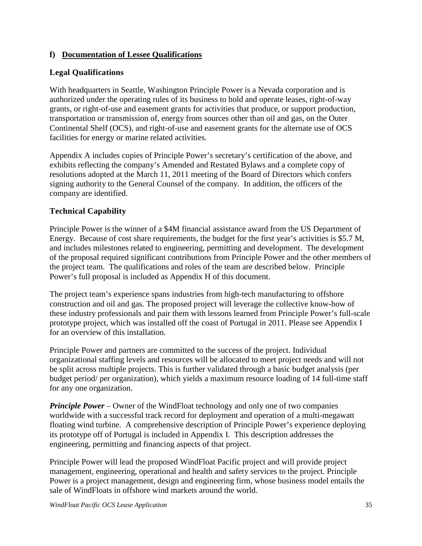## **f) Documentation of Lessee Qualifications**

# **Legal Qualifications**

With headquarters in Seattle, Washington Principle Power is a Nevada corporation and is authorized under the operating rules of its business to hold and operate leases, right-of-way grants, or right-of-use and easement grants for activities that produce, or support production, transportation or transmission of, energy from sources other than oil and gas, on the Outer Continental Shelf (OCS), and right-of-use and easement grants for the alternate use of OCS facilities for energy or marine related activities.

Appendix A includes copies of Principle Power's secretary's certification of the above, and exhibits reflecting the company's Amended and Restated Bylaws and a complete copy of resolutions adopted at the March 11, 2011 meeting of the Board of Directors which confers signing authority to the General Counsel of the company. In addition, the officers of the company are identified.

# **Technical Capability**

Principle Power is the winner of a \$4M financial assistance award from the US Department of Energy. Because of cost share requirements, the budget for the first year's activities is \$5.7 M, and includes milestones related to engineering, permitting and development. The development of the proposal required significant contributions from Principle Power and the other members of the project team. The qualifications and roles of the team are described below. Principle Power's full proposal is included as Appendix H of this document.

The project team's experience spans industries from high-tech manufacturing to offshore construction and oil and gas. The proposed project will leverage the collective know-how of these industry professionals and pair them with lessons learned from Principle Power's full-scale prototype project, which was installed off the coast of Portugal in 2011. Please see Appendix I for an overview of this installation.

Principle Power and partners are committed to the success of the project. Individual organizational staffing levels and resources will be allocated to meet project needs and will not be split across multiple projects. This is further validated through a basic budget analysis (per budget period/ per organization), which yields a maximum resource loading of 14 full-time staff for any one organization.

*Principle Power* – Owner of the WindFloat technology and only one of two companies worldwide with a successful track record for deployment and operation of a multi-megawatt floating wind turbine. A comprehensive description of Principle Power's experience deploying its prototype off of Portugal is included in Appendix I. This description addresses the engineering, permitting and financing aspects of that project.

Principle Power will lead the proposed WindFloat Pacific project and will provide project management, engineering, operational and health and safety services to the project. Principle Power is a project management, design and engineering firm, whose business model entails the sale of WindFloats in offshore wind markets around the world.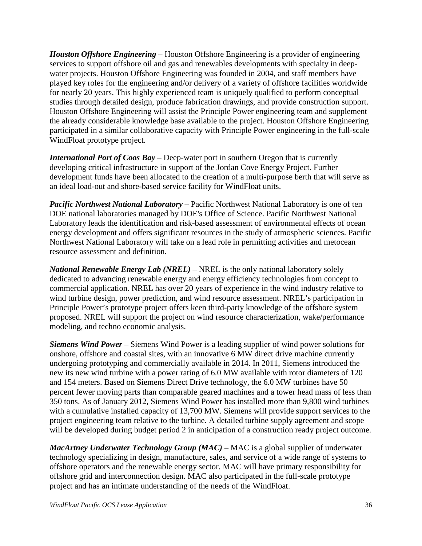*Houston Offshore Engineering* – Houston Offshore Engineering is a provider of engineering services to support offshore oil and gas and renewables developments with specialty in deepwater projects. Houston Offshore Engineering was founded in 2004, and staff members have played key roles for the engineering and/or delivery of a variety of offshore facilities worldwide for nearly 20 years. This highly experienced team is uniquely qualified to perform conceptual studies through detailed design, produce fabrication drawings, and provide construction support. Houston Offshore Engineering will assist the Principle Power engineering team and supplement the already considerable knowledge base available to the project. Houston Offshore Engineering participated in a similar collaborative capacity with Principle Power engineering in the full-scale WindFloat prototype project.

*International Port of Coos Bay* – Deep-water port in southern Oregon that is currently developing critical infrastructure in support of the Jordan Cove Energy Project. Further development funds have been allocated to the creation of a multi-purpose berth that will serve as an ideal load-out and shore-based service facility for WindFloat units.

*Pacific Northwest National Laboratory* – Pacific Northwest National Laboratory is one of ten DOE national laboratories managed by DOE's Office of Science. Pacific Northwest National Laboratory leads the identification and risk-based assessment of environmental effects of ocean energy development and offers significant resources in the study of atmospheric sciences. Pacific Northwest National Laboratory will take on a lead role in permitting activities and metocean resource assessment and definition.

*National Renewable Energy Lab (NREL)* – NREL is the only national laboratory solely dedicated to advancing renewable energy and energy efficiency technologies from concept to commercial application. NREL has over 20 years of experience in the wind industry relative to wind turbine design, power prediction, and wind resource assessment. NREL's participation in Principle Power's prototype project offers keen third-party knowledge of the offshore system proposed. NREL will support the project on wind resource characterization, wake/performance modeling, and techno economic analysis.

*Siemens Wind Power* – Siemens Wind Power is a leading supplier of wind power solutions for onshore, offshore and coastal sites, with an innovative 6 MW direct drive machine currently undergoing prototyping and commercially available in 2014. In 2011, Siemens introduced the new its new wind turbine with a power rating of 6.0 MW available with rotor diameters of 120 and 154 meters. Based on Siemens Direct Drive technology, the 6.0 MW turbines have 50 percent fewer moving parts than comparable geared machines and a tower head mass of less than 350 tons. As of January 2012, Siemens Wind Power has installed more than 9,800 wind turbines with a cumulative installed capacity of 13,700 MW. Siemens will provide support services to the project engineering team relative to the turbine. A detailed turbine supply agreement and scope will be developed during budget period 2 in anticipation of a construction ready project outcome.

*MacArtney Underwater Technology Group (MAC) –* MAC is a global supplier of underwater technology specializing in design, manufacture, sales, and service of a wide range of systems to offshore operators and the renewable energy sector. MAC will have primary responsibility for offshore grid and interconnection design. MAC also participated in the full-scale prototype project and has an intimate understanding of the needs of the WindFloat.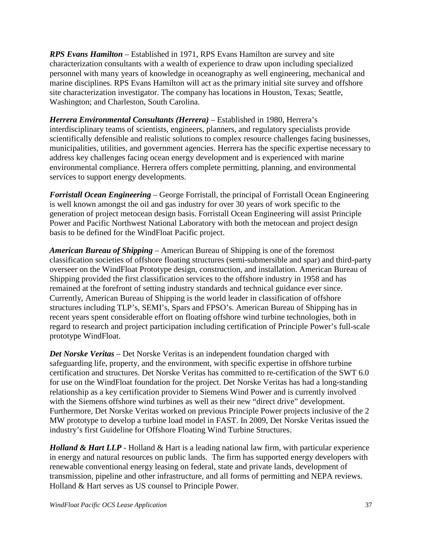*RPS Evans Hamilton –* Established in 1971, RPS Evans Hamilton are survey and site characterization consultants with a wealth of experience to draw upon including specialized personnel with many years of knowledge in oceanography as well engineering, mechanical and marine disciplines. RPS Evans Hamilton will act as the primary initial site survey and offshore site characterization investigator. The company has locations in Houston, Texas; Seattle, Washington; and Charleston, South Carolina.

*Herrera Environmental Consultants (Herrera)* – Established in 1980, Herrera's interdisciplinary teams of scientists, engineers, planners, and regulatory specialists provide scientifically defensible and realistic solutions to complex resource challenges facing businesses, municipalities, utilities, and government agencies. Herrera has the specific expertise necessary to address key challenges facing ocean energy development and is experienced with marine environmental compliance. Herrera offers complete permitting, planning, and environmental services to support energy developments.

*Forristall Ocean Engineering* – George Forristall, the principal of Forristall Ocean Engineering is well known amongst the oil and gas industry for over 30 years of work specific to the generation of project metocean design basis. Forristall Ocean Engineering will assist Principle Power and Pacific Northwest National Laboratory with both the metocean and project design basis to be defined for the WindFloat Pacific project.

*American Bureau of Shipping* – American Bureau of Shipping is one of the foremost classification societies of offshore floating structures (semi-submersible and spar) and third-party overseer on the WindFloat Prototype design, construction, and installation. American Bureau of Shipping provided the first classification services to the offshore industry in 1958 and has remained at the forefront of setting industry standards and technical guidance ever since. Currently, American Bureau of Shipping is the world leader in classification of offshore structures including TLP's, SEMI's, Spars and FPSO's. American Bureau of Shipping has in recent years spent considerable effort on floating offshore wind turbine technologies, both in regard to research and project participation including certification of Principle Power's full-scale prototype WindFloat.

*Det Norske Veritas* – Det Norske Veritas is an independent foundation charged with safeguarding life, property, and the environment, with specific expertise in offshore turbine certification and structures. Det Norske Veritas has committed to re-certification of the SWT 6.0 for use on the WindFloat foundation for the project. Det Norske Veritas has had a long-standing relationship as a key certification provider to Siemens Wind Power and is currently involved with the Siemens offshore wind turbines as well as their new "direct drive" development. Furthermore, Det Norske Veritas worked on previous Principle Power projects inclusive of the 2 MW prototype to develop a turbine load model in FAST. In 2009, Det Norske Veritas issued the industry's first Guideline for Offshore Floating Wind Turbine Structures.

*Holland & Hart LLP* - Holland & Hart is a leading national law firm, with particular experience in energy and natural resources on public lands. The firm has supported energy developers with renewable conventional energy leasing on federal, state and private lands, development of transmission, pipeline and other infrastructure, and all forms of permitting and NEPA reviews. Holland & Hart serves as US counsel to Principle Power.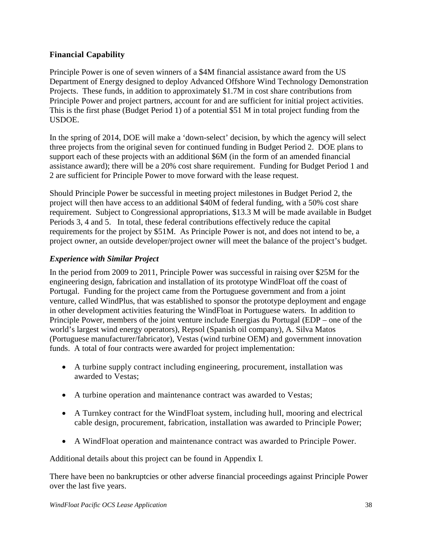### **Financial Capability**

Principle Power is one of seven winners of a \$4M financial assistance award from the US Department of Energy designed to deploy Advanced Offshore Wind Technology Demonstration Projects. These funds, in addition to approximately \$1.7M in cost share contributions from Principle Power and project partners, account for and are sufficient for initial project activities. This is the first phase (Budget Period 1) of a potential \$51 M in total project funding from the USDOE.

In the spring of 2014, DOE will make a 'down-select' decision, by which the agency will select three projects from the original seven for continued funding in Budget Period 2. DOE plans to support each of these projects with an additional \$6M (in the form of an amended financial assistance award); there will be a 20% cost share requirement. Funding for Budget Period 1 and 2 are sufficient for Principle Power to move forward with the lease request.

Should Principle Power be successful in meeting project milestones in Budget Period 2, the project will then have access to an additional \$40M of federal funding, with a 50% cost share requirement. Subject to Congressional appropriations, \$13.3 M will be made available in Budget Periods 3, 4 and 5. In total, these federal contributions effectively reduce the capital requirements for the project by \$51M. As Principle Power is not, and does not intend to be, a project owner, an outside developer/project owner will meet the balance of the project's budget.

### *Experience with Similar Project*

In the period from 2009 to 2011, Principle Power was successful in raising over \$25M for the engineering design, fabrication and installation of its prototype WindFloat off the coast of Portugal. Funding for the project came from the Portuguese government and from a joint venture, called WindPlus, that was established to sponsor the prototype deployment and engage in other development activities featuring the WindFloat in Portuguese waters. In addition to Principle Power, members of the joint venture include Energias du Portugal (EDP – one of the world's largest wind energy operators), Repsol (Spanish oil company), A. Silva Matos (Portuguese manufacturer/fabricator), Vestas (wind turbine OEM) and government innovation funds. A total of four contracts were awarded for project implementation:

- A turbine supply contract including engineering, procurement, installation was awarded to Vestas;
- A turbine operation and maintenance contract was awarded to Vestas;
- A Turnkey contract for the WindFloat system, including hull, mooring and electrical cable design, procurement, fabrication, installation was awarded to Principle Power;
- A WindFloat operation and maintenance contract was awarded to Principle Power.

Additional details about this project can be found in Appendix I.

There have been no bankruptcies or other adverse financial proceedings against Principle Power over the last five years.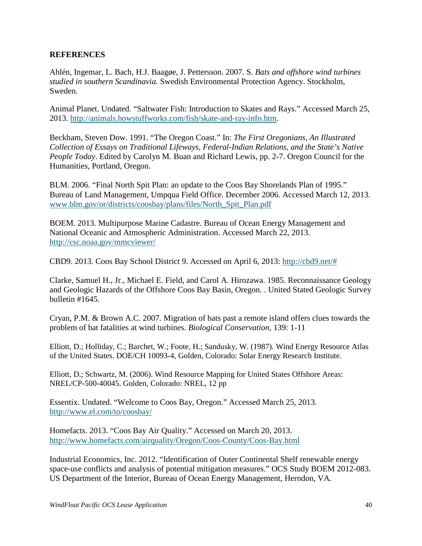#### **REFERENCES**

Ahlén, Ingemar, L. Bach, H.J. Baagøe, J. Pettersson. 2007. S. *Bats and offshore wind turbines studied in southern Scandinavia.* Swedish Environmental Protection Agency. Stockholm, Sweden.

Animal Planet. Undated. "Saltwater Fish: Introduction to Skates and Rays." Accessed March 25, 2013. [http://animals.howstuffworks.com/fish/skate-and-ray-info.htm.](http://animals.howstuffworks.com/fish/skate-and-ray-info.htm)

Beckham, Steven Dow. 1991. "The Oregon Coast." In: *The First Oregonians, An Illustrated Collection of Essays on Traditional Lifeways, Federal-Indian Relations, and the State's Native People Today*. Edited by Carolyn M. Buan and Richard Lewis, pp. 2-7. Oregon Council for the Humanities, Portland, Oregon.

BLM. 2006. "Final North Spit Plan: an update to the Coos Bay Shorelands Plan of 1995." Bureau of Land Management, Umpqua Field Office. December 2006. Accessed March 12, 2013. [www.blm.gov/or/districts/coosbay/plans/files/North\\_Spit\\_Plan.pdf](http://www.blm.gov/or/districts/coosbay/plans/files/North_Spit_Plan.pdf)

BOEM. 2013. Multipurpose Marine Cadastre. Bureau of Ocean Energy Management and National Oceanic and Atmospheric Administration. Accessed March 22, 2013. <http://csc.noaa.gov/mmcviewer/>

CBD9. 2013. Coos Bay School District 9. Accessed on April 6, 2013: [http://cbd9.net/#](http://cbd9.net/)

Clarke, Samuel H., Jr., Michael E. Field, and Carol A. Hirozawa. 1985. Reconnaissance Geology and Geologic Hazards of the Offshore Coos Bay Basin, Oregon. . United Stated Geologic Survey bulletin #1645.

Cryan, P.M. & Brown A.C. 2007. Migration of bats past a remote island offers clues towards the problem of bat fatalities at wind turbines. *Biological Conservation*, 139: 1-11

Elliott, D.; Holliday, C.; Barchet, W.; Foote, H.; Sandusky, W. (1987). Wind Energy Resource Atlas of the United States. DOE/CH 10093-4, Golden, Colorado: Solar Energy Research Institute.

Elliott, D.; Schwartz, M. (2006). Wind Resource Mapping for United States Offshore Areas: NREL/CP-500-40045. Golden, Colorado: NREL, 12 pp

Essentix. Undated. "Welcome to Coos Bay, Oregon." Accessed March 25, 2013. <http://www.el.com/to/coosbay/>

Homefacts. 2013. "Coos Bay Air Quality." Accessed on March 20, 2013. <http://www.homefacts.com/airquality/Oregon/Coos-County/Coos-Bay.html>

Industrial Economics, Inc. 2012. "Identification of Outer Continental Shelf renewable energy space-use conflicts and analysis of potential mitigation measures." OCS Study BOEM 2012-083. US Department of the Interior, Bureau of Ocean Energy Management, Herndon, VA.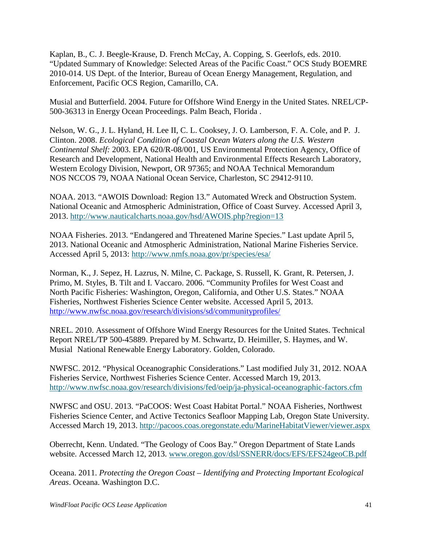Kaplan, B., C. J. Beegle-Krause, D. French McCay, A. Copping, S. Geerlofs, eds. 2010. "Updated Summary of Knowledge: Selected Areas of the Pacific Coast." OCS Study BOEMRE 2010-014. US Dept. of the Interior, Bureau of Ocean Energy Management, Regulation, and Enforcement, Pacific OCS Region, Camarillo, CA.

Musial and Butterfield. 2004. Future for Offshore Wind Energy in the United States. NREL/CP-500-36313 in Energy Ocean Proceedings. Palm Beach, Florida .

Nelson, W. G., J. L. Hyland, H. Lee II, C. L. Cooksey, J. O. Lamberson, F. A. Cole, and P. J. Clinton. 2008. *Ecological Condition of Coastal Ocean Waters along the U.S. Western Continental Shelf:* 2003. EPA 620/R-08/001, US Environmental Protection Agency, Office of Research and Development, National Health and Environmental Effects Research Laboratory, Western Ecology Division, Newport, OR 97365; and NOAA Technical Memorandum NOS NCCOS 79, NOAA National Ocean Service, Charleston, SC 29412-9110.

NOAA. 2013. "AWOIS Download: Region 13." Automated Wreck and Obstruction System. National Oceanic and Atmospheric Administration, Office of Coast Survey. Accessed April 3, 2013. <http://www.nauticalcharts.noaa.gov/hsd/AWOIS.php?region=13>

NOAA Fisheries. 2013. "Endangered and Threatened Marine Species." Last update April 5, 2013. National Oceanic and Atmospheric Administration, National Marine Fisheries Service. Accessed April 5, 2013:<http://www.nmfs.noaa.gov/pr/species/esa/>

Norman, K., J. Sepez, H. Lazrus, N. Milne, C. Package, S. Russell, K. Grant, R. Petersen, J. Primo, M. Styles, B. Tilt and I. Vaccaro. 2006. "Community Profiles for West Coast and North Pacific Fisheries: Washington, Oregon, California, and Other U.S. States." NOAA Fisheries, Northwest Fisheries Science Center website. Accessed April 5, 2013. <http://www.nwfsc.noaa.gov/research/divisions/sd/communityprofiles/>

NREL. 2010. Assessment of Offshore Wind Energy Resources for the United States. Technical Report NREL/TP 500-45889. Prepared by M. Schwartz, D. Heimiller, S. Haymes, and W. Musial National Renewable Energy Laboratory. Golden, Colorado.

NWFSC. 2012. "Physical Oceanographic Considerations." Last modified July 31, 2012. NOAA Fisheries Service, Northwest Fisheries Science Center. Accessed March 19, 2013. <http://www.nwfsc.noaa.gov/research/divisions/fed/oeip/ja-physical-oceanographic-factors.cfm>

NWFSC and OSU. 2013. "PaCOOS: West Coast Habitat Portal." NOAA Fisheries, Northwest Fisheries Science Center, and Active Tectonics Seafloor Mapping Lab, Oregon State University. Accessed March 19, 2013. <http://pacoos.coas.oregonstate.edu/MarineHabitatViewer/viewer.aspx>

Oberrecht, Kenn. Undated. "The Geology of Coos Bay." Oregon Department of State Lands website. Accessed March 12, 2013. [www.oregon.gov/dsl/SSNERR/docs/EFS/EFS24geoCB.pdf](http://www.oregon.gov/dsl/SSNERR/docs/EFS/EFS24geoCB.pdf)

Oceana. 2011. *Protecting the Oregon Coast – Identifying and Protecting Important Ecological Areas*. Oceana. Washington D.C.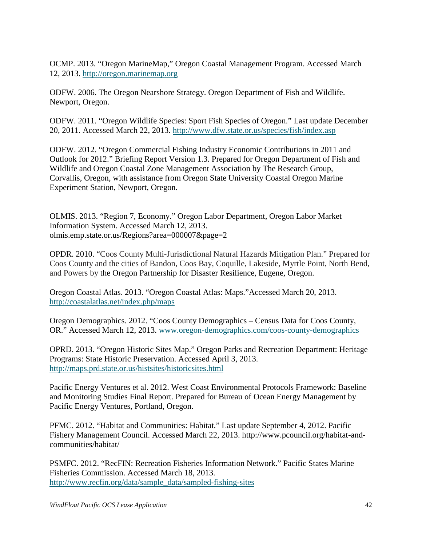OCMP. 2013. "Oregon MarineMap," Oregon Coastal Management Program. Accessed March 12, 2013. [http://oregon.marinemap.org](http://oregon.marinemap.org/)

ODFW. 2006. The Oregon Nearshore Strategy. Oregon Department of Fish and Wildlife. Newport, Oregon.

ODFW. 2011. "Oregon Wildlife Species: Sport Fish Species of Oregon." Last update December 20, 2011. Accessed March 22, 2013. <http://www.dfw.state.or.us/species/fish/index.asp>

ODFW. 2012. "Oregon Commercial Fishing Industry Economic Contributions in 2011 and Outlook for 2012." Briefing Report Version 1.3. Prepared for Oregon Department of Fish and Wildlife and Oregon Coastal Zone Management Association by The Research Group, Corvallis, Oregon, with assistance from Oregon State University Coastal Oregon Marine Experiment Station, Newport, Oregon.

OLMIS. 2013. "Region 7, Economy." Oregon Labor Department, Oregon Labor Market Information System. Accessed March 12, 2013. olmis.emp.state.or.us/Regions?area=000007&page=2

OPDR. 2010. "Coos County Multi-Jurisdictional Natural Hazards Mitigation Plan." Prepared for Coos County and the cities of Bandon, Coos Bay, Coquille, Lakeside, Myrtle Point, North Bend, and Powers by the Oregon Partnership for Disaster Resilience, Eugene, Oregon.

Oregon Coastal Atlas. 2013. "Oregon Coastal Atlas: Maps."Accessed March 20, 2013. <http://coastalatlas.net/index.php/maps>

Oregon Demographics. 2012. "Coos County Demographics – Census Data for Coos County, OR." Accessed March 12, 2013. [www.oregon-demographics.com/coos-county-demographics](http://www.oregon-demographics.com/coos-county-demographics)

OPRD. 2013. "Oregon Historic Sites Map." Oregon Parks and Recreation Department: Heritage Programs: State Historic Preservation. Accessed April 3, 2013. <http://maps.prd.state.or.us/histsites/historicsites.html>

Pacific Energy Ventures et al. 2012. West Coast Environmental Protocols Framework: Baseline and Monitoring Studies Final Report. Prepared for Bureau of Ocean Energy Management by Pacific Energy Ventures, Portland, Oregon.

PFMC. 2012. "Habitat and Communities: Habitat." Last update September 4, 2012. Pacific Fishery Management Council. Accessed March 22, 2013. http://www.pcouncil.org/habitat-andcommunities/habitat/

PSMFC. 2012. "RecFIN: Recreation Fisheries Information Network." Pacific States Marine Fisheries Commission. Accessed March 18, 2013. [http://www.recfin.org/data/sample\\_data/sampled-fishing-sites](http://www.recfin.org/data/sample_data/sampled-fishing-sites)